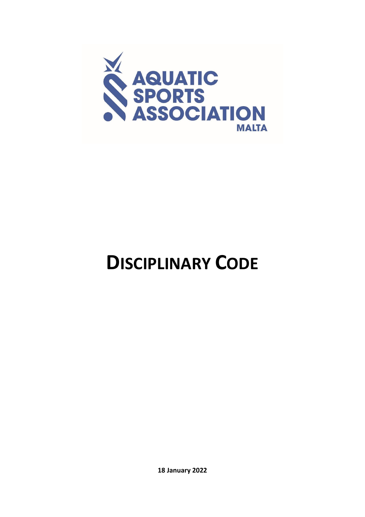

# **DISCIPLINARY CODE**

**18 January 2022**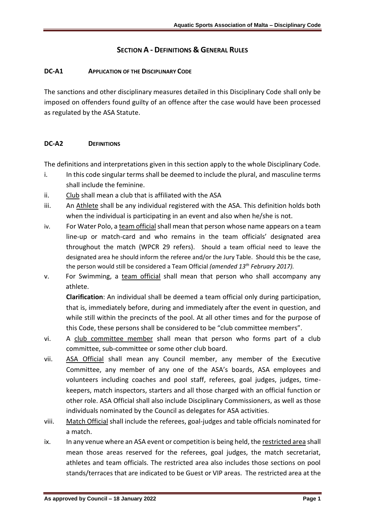# **SECTION A - DEFINITIONS & GENERAL RULES**

#### **DC-A1 APPLICATION OF THE DISCIPLINARY CODE**

The sanctions and other disciplinary measures detailed in this Disciplinary Code shall only be imposed on offenders found guilty of an offence after the case would have been processed as regulated by the ASA Statute.

#### **DC-A2 DEFINITIONS**

The definitions and interpretations given in this section apply to the whole Disciplinary Code.

- i. In this code singular terms shall be deemed to include the plural, and masculine terms shall include the feminine.
- ii. Club shall mean a club that is affiliated with the ASA
- iii. An Athlete shall be any individual registered with the ASA. This definition holds both when the individual is participating in an event and also when he/she is not.
- iv. For Water Polo, a team official shall mean that person whose name appears on a team line-up or match-card and who remains in the team officials' designated area throughout the match (WPCR 29 refers). Should a team official need to leave the designated area he should inform the referee and/or the Jury Table. Should this be the case, the person would still be considered a Team Official *(amended 13th February 2017).*
- v. For Swimming, a team official shall mean that person who shall accompany any athlete.

**Clarification**: An individual shall be deemed a team official only during participation, that is, immediately before, during and immediately after the event in question, and while still within the precincts of the pool. At all other times and for the purpose of this Code, these persons shall be considered to be "club committee members".

- vi. A club committee member shall mean that person who forms part of a club committee, sub-committee or some other club board.
- vii. ASA Official shall mean any Council member, any member of the Executive Committee, any member of any one of the ASA's boards, ASA employees and volunteers including coaches and pool staff, referees, goal judges, judges, timekeepers, match inspectors, starters and all those charged with an official function or other role. ASA Official shall also include Disciplinary Commissioners, as well as those individuals nominated by the Council as delegates for ASA activities.
- viii. Match Official shall include the referees, goal-judges and table officials nominated for a match.
- ix. In any venue where an ASA event or competition is being held, the restricted area shall mean those areas reserved for the referees, goal judges, the match secretariat, athletes and team officials. The restricted area also includes those sections on pool stands/terraces that are indicated to be Guest or VIP areas. The restricted area at the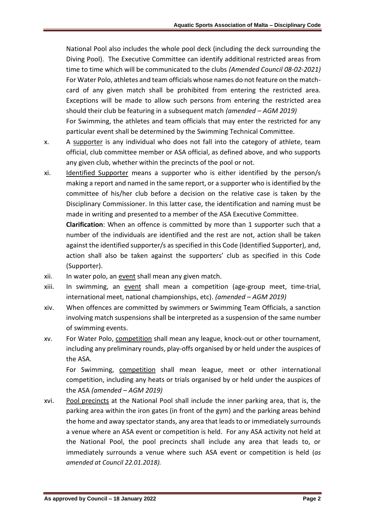National Pool also includes the whole pool deck (including the deck surrounding the Diving Pool). The Executive Committee can identify additional restricted areas from time to time which will be communicated to the clubs *(Amended Council 08-02-2021)* For Water Polo, athletes and team officials whose names do not feature on the matchcard of any given match shall be prohibited from entering the restricted area. Exceptions will be made to allow such persons from entering the restricted area should their club be featuring in a subsequent match *(amended – AGM 2019)* For Swimming, the athletes and team officials that may enter the restricted for any

x. A supporter is any individual who does not fall into the category of athlete, team official, club committee member or ASA official, as defined above, and who supports any given club, whether within the precincts of the pool or not.

particular event shall be determined by the Swimming Technical Committee.

xi. Identified Supporter means a supporter who is either identified by the person/s making a report and named in the same report, or a supporter who is identified by the committee of his/her club before a decision on the relative case is taken by the Disciplinary Commissioner. In this latter case, the identification and naming must be made in writing and presented to a member of the ASA Executive Committee.

**Clarification**: When an offence is committed by more than 1 supporter such that a number of the individuals are identified and the rest are not, action shall be taken against the identified supporter/s as specified in this Code (Identified Supporter), and, action shall also be taken against the supporters' club as specified in this Code (Supporter).

- xii. In water polo, an event shall mean any given match.
- xiii. In swimming, an event shall mean a competition (age-group meet, time-trial, international meet, national championships, etc). *(amended – AGM 2019)*
- xiv. When offences are committed by swimmers or Swimming Team Officials, a sanction involving match suspensions shall be interpreted as a suspension of the same number of swimming events.
- xv. For Water Polo, competition shall mean any league, knock-out or other tournament, including any preliminary rounds, play-offs organised by or held under the auspices of the ASA.

For Swimming, competition shall mean league, meet or other international competition, including any heats or trials organised by or held under the auspices of the ASA *(amended – AGM 2019)*

xvi. Pool precincts at the National Pool shall include the inner parking area, that is, the parking area within the iron gates (in front of the gym) and the parking areas behind the home and away spectator stands, any area that leads to or immediately surrounds a venue where an ASA event or competition is held. For any ASA activity not held at the National Pool, the pool precincts shall include any area that leads to, or immediately surrounds a venue where such ASA event or competition is held (*as amended at Council 22.01.2018).*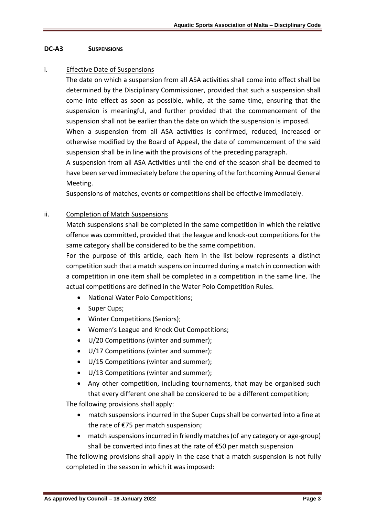#### **DC-A3 SUSPENSIONS**

#### i. Effective Date of Suspensions

The date on which a suspension from all ASA activities shall come into effect shall be determined by the Disciplinary Commissioner, provided that such a suspension shall come into effect as soon as possible, while, at the same time, ensuring that the suspension is meaningful, and further provided that the commencement of the suspension shall not be earlier than the date on which the suspension is imposed.

When a suspension from all ASA activities is confirmed, reduced, increased or otherwise modified by the Board of Appeal, the date of commencement of the said suspension shall be in line with the provisions of the preceding paragraph.

A suspension from all ASA Activities until the end of the season shall be deemed to have been served immediately before the opening of the forthcoming Annual General Meeting.

Suspensions of matches, events or competitions shall be effective immediately.

#### ii. Completion of Match Suspensions

Match suspensions shall be completed in the same competition in which the relative offence was committed, provided that the league and knock-out competitions for the same category shall be considered to be the same competition.

For the purpose of this article, each item in the list below represents a distinct competition such that a match suspension incurred during a match in connection with a competition in one item shall be completed in a competition in the same line. The actual competitions are defined in the Water Polo Competition Rules.

- National Water Polo Competitions;
- Super Cups;
- Winter Competitions (Seniors);
- Women's League and Knock Out Competitions;
- U/20 Competitions (winter and summer);
- U/17 Competitions (winter and summer);
- U/15 Competitions (winter and summer);
- U/13 Competitions (winter and summer);
- Any other competition, including tournaments, that may be organised such that every different one shall be considered to be a different competition;

The following provisions shall apply:

- match suspensions incurred in the Super Cups shall be converted into a fine at the rate of €75 per match suspension;
- match suspensions incurred in friendly matches (of any category or age-group) shall be converted into fines at the rate of €50 per match suspension

The following provisions shall apply in the case that a match suspension is not fully completed in the season in which it was imposed: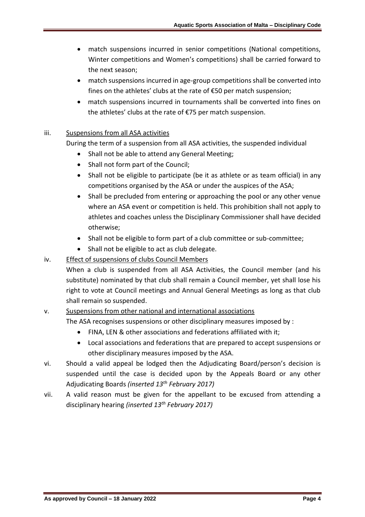- match suspensions incurred in senior competitions (National competitions, Winter competitions and Women's competitions) shall be carried forward to the next season;
- match suspensions incurred in age-group competitions shall be converted into fines on the athletes' clubs at the rate of €50 per match suspension;
- match suspensions incurred in tournaments shall be converted into fines on the athletes' clubs at the rate of €75 per match suspension.

# iii. Suspensions from all ASA activities

During the term of a suspension from all ASA activities, the suspended individual

- Shall not be able to attend any General Meeting;
- Shall not form part of the Council;
- Shall not be eligible to participate (be it as athlete or as team official) in any competitions organised by the ASA or under the auspices of the ASA;
- Shall be precluded from entering or approaching the pool or any other venue where an ASA event or competition is held. This prohibition shall not apply to athletes and coaches unless the Disciplinary Commissioner shall have decided otherwise;
- Shall not be eligible to form part of a club committee or sub-committee;
- Shall not be eligible to act as club delegate.

# iv. Effect of suspensions of clubs Council Members

When a club is suspended from all ASA Activities, the Council member (and his substitute) nominated by that club shall remain a Council member, yet shall lose his right to vote at Council meetings and Annual General Meetings as long as that club shall remain so suspended.

# v. Suspensions from other national and international associations

The ASA recognises suspensions or other disciplinary measures imposed by :

- FINA, LEN & other associations and federations affiliated with it;
- Local associations and federations that are prepared to accept suspensions or other disciplinary measures imposed by the ASA.
- vi. Should a valid appeal be lodged then the Adjudicating Board/person's decision is suspended until the case is decided upon by the Appeals Board or any other Adjudicating Boards *(inserted 13th February 2017)*
- vii. A valid reason must be given for the appellant to be excused from attending a disciplinary hearing *(inserted 13th February 2017)*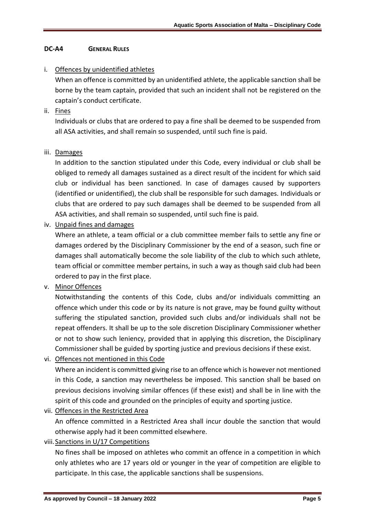# **DC-A4 GENERAL RULES**

# i. Offences by unidentified athletes

When an offence is committed by an unidentified athlete, the applicable sanction shall be borne by the team captain, provided that such an incident shall not be registered on the captain's conduct certificate.

ii. Fines

Individuals or clubs that are ordered to pay a fine shall be deemed to be suspended from all ASA activities, and shall remain so suspended, until such fine is paid.

### iii. Damages

In addition to the sanction stipulated under this Code, every individual or club shall be obliged to remedy all damages sustained as a direct result of the incident for which said club or individual has been sanctioned. In case of damages caused by supporters (identified or unidentified), the club shall be responsible for such damages. Individuals or clubs that are ordered to pay such damages shall be deemed to be suspended from all ASA activities, and shall remain so suspended, until such fine is paid.

iv. Unpaid fines and damages

Where an athlete, a team official or a club committee member fails to settle any fine or damages ordered by the Disciplinary Commissioner by the end of a season, such fine or damages shall automatically become the sole liability of the club to which such athlete, team official or committee member pertains, in such a way as though said club had been ordered to pay in the first place.

v. Minor Offences

Notwithstanding the contents of this Code, clubs and/or individuals committing an offence which under this code or by its nature is not grave, may be found guilty without suffering the stipulated sanction, provided such clubs and/or individuals shall not be repeat offenders. It shall be up to the sole discretion Disciplinary Commissioner whether or not to show such leniency, provided that in applying this discretion, the Disciplinary Commissioner shall be guided by sporting justice and previous decisions if these exist.

vi. Offences not mentioned in this Code

Where an incident is committed giving rise to an offence which is however not mentioned in this Code, a sanction may nevertheless be imposed. This sanction shall be based on previous decisions involving similar offences (if these exist) and shall be in line with the spirit of this code and grounded on the principles of equity and sporting justice.

vii. Offences in the Restricted Area

An offence committed in a Restricted Area shall incur double the sanction that would otherwise apply had it been committed elsewhere.

viii. Sanctions in U/17 Competitions

No fines shall be imposed on athletes who commit an offence in a competition in which only athletes who are 17 years old or younger in the year of competition are eligible to participate. In this case, the applicable sanctions shall be suspensions.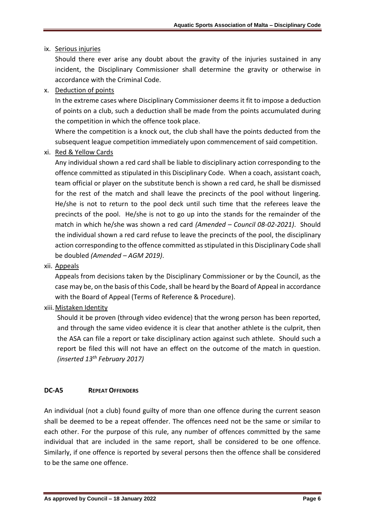# ix. Serious injuries

Should there ever arise any doubt about the gravity of the injuries sustained in any incident, the Disciplinary Commissioner shall determine the gravity or otherwise in accordance with the Criminal Code.

x. Deduction of points

In the extreme cases where Disciplinary Commissioner deems it fit to impose a deduction of points on a club, such a deduction shall be made from the points accumulated during the competition in which the offence took place.

Where the competition is a knock out, the club shall have the points deducted from the subsequent league competition immediately upon commencement of said competition.

xi. Red & Yellow Cards

Any individual shown a red card shall be liable to disciplinary action corresponding to the offence committed as stipulated in this Disciplinary Code. When a coach, assistant coach, team official or player on the substitute bench is shown a red card, he shall be dismissed for the rest of the match and shall leave the precincts of the pool without lingering. He/she is not to return to the pool deck until such time that the referees leave the precincts of the pool. He/she is not to go up into the stands for the remainder of the match in which he/she was shown a red card *(Amended – Council 08-02-2021)*. Should the individual shown a red card refuse to leave the precincts of the pool, the disciplinary action corresponding to the offence committed as stipulated in this Disciplinary Code shall be doubled *(Amended – AGM 2019)*.

xii. Appeals

Appeals from decisions taken by the Disciplinary Commissioner or by the Council, as the case may be, on the basis of this Code, shall be heard by the Board of Appeal in accordance with the Board of Appeal (Terms of Reference & Procedure).

xiii.Mistaken Identity

Should it be proven (through video evidence) that the wrong person has been reported, and through the same video evidence it is clear that another athlete is the culprit, then the ASA can file a report or take disciplinary action against such athlete. Should such a report be filed this will not have an effect on the outcome of the match in question. *(inserted 13th February 2017)*

### **DC-A5 REPEAT OFFENDERS**

An individual (not a club) found guilty of more than one offence during the current season shall be deemed to be a repeat offender. The offences need not be the same or similar to each other. For the purpose of this rule, any number of offences committed by the same individual that are included in the same report, shall be considered to be one offence. Similarly, if one offence is reported by several persons then the offence shall be considered to be the same one offence.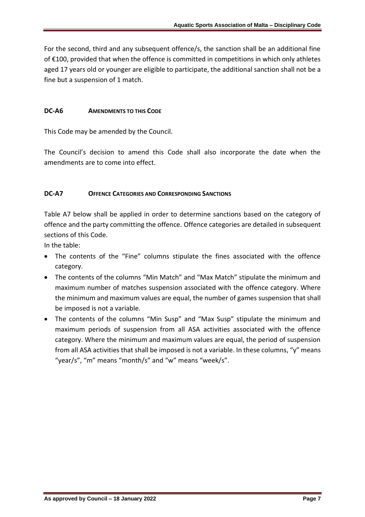For the second, third and any subsequent offence/s, the sanction shall be an additional fine of €100, provided that when the offence is committed in competitions in which only athletes aged 17 years old or younger are eligible to participate, the additional sanction shall not be a fine but a suspension of 1 match.

## **DC-A6 AMENDMENTS TO THIS CODE**

This Code may be amended by the Council.

The Council's decision to amend this Code shall also incorporate the date when the amendments are to come into effect.

## **DC-A7 OFFENCE CATEGORIES AND CORRESPONDING SANCTIONS**

Table A7 below shall be applied in order to determine sanctions based on the category of offence and the party committing the offence. Offence categories are detailed in subsequent sections of this Code.

In the table:

- The contents of the "Fine" columns stipulate the fines associated with the offence category.
- The contents of the columns "Min Match" and "Max Match" stipulate the minimum and maximum number of matches suspension associated with the offence category. Where the minimum and maximum values are equal, the number of games suspension that shall be imposed is not a variable.
- The contents of the columns "Min Susp" and "Max Susp" stipulate the minimum and maximum periods of suspension from all ASA activities associated with the offence category. Where the minimum and maximum values are equal, the period of suspension from all ASA activities that shall be imposed is not a variable. In these columns, "y" means "year/s", "m" means "month/s" and "w" means "week/s".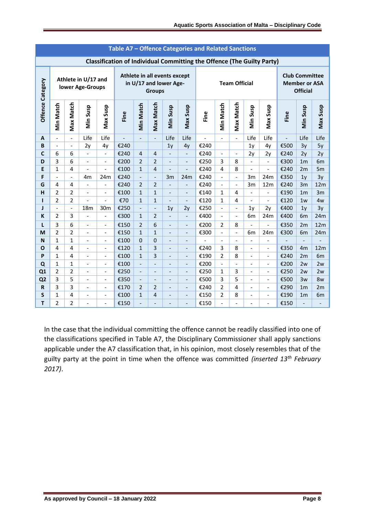|                  | Table A7 – Offence Categories and Related Sanctions |                          |                                         |                          |                                                                               |                                                                         |                          |                              |                          |                      |                          |                          |                              |                                  |                                                                  |                |                      |
|------------------|-----------------------------------------------------|--------------------------|-----------------------------------------|--------------------------|-------------------------------------------------------------------------------|-------------------------------------------------------------------------|--------------------------|------------------------------|--------------------------|----------------------|--------------------------|--------------------------|------------------------------|----------------------------------|------------------------------------------------------------------|----------------|----------------------|
|                  |                                                     |                          |                                         |                          | <b>Classification of Individual Committing the Offence (The Guilty Party)</b> |                                                                         |                          |                              |                          |                      |                          |                          |                              |                                  |                                                                  |                |                      |
|                  |                                                     |                          | Athlete in U/17 and<br>lower Age-Groups |                          |                                                                               | Athlete in all events except<br>in U/17 and lower Age-<br><b>Groups</b> |                          |                              |                          | <b>Team Official</b> |                          |                          |                              |                                  | <b>Club Committee</b><br><b>Member or ASA</b><br><b>Official</b> |                |                      |
| Offence Category | <b>Min Match</b>                                    | Max Match                | Min Susp                                | Max Susp                 | Fine                                                                          | <b>Min Match</b>                                                        | <b>Max Match</b>         | Min Susp                     | Max Susp                 | Fine                 | <b>Min Match</b>         | Max Match                | Min Susp                     | Max Susp                         | Fine                                                             | Min Susp       | Max Susp             |
| A                |                                                     |                          | Life                                    | Life                     |                                                                               |                                                                         | $\overline{a}$           | Life                         | Life                     |                      |                          |                          | Life                         | Life                             |                                                                  | Life           | Life                 |
| $\, {\bf B}$     | $\overline{\phantom{a}}$                            | $\overline{\phantom{a}}$ | 2y                                      | 4y                       | €240                                                                          |                                                                         |                          | 1 <sub>y</sub>               | 4y                       | €240                 |                          |                          | 1 <sub>y</sub>               | 4y                               | €500                                                             | 3y             | 5y                   |
| $\mathbf c$      | 6                                                   | 6                        | $\frac{1}{2}$                           | $\overline{\phantom{a}}$ | €240                                                                          | $\overline{4}$                                                          | $\overline{4}$           | $\frac{1}{2}$                | $\blacksquare$           | €240                 | $\qquad \qquad \Box$     | $\blacksquare$           | 2y                           | 2y                               | €240                                                             | 2y             | 2y                   |
| D                | 3                                                   | 6                        | $\frac{1}{2}$                           | $\blacksquare$           | €200                                                                          | $\overline{2}$                                                          | $\overline{2}$           | $\frac{1}{2}$                | $\overline{\phantom{a}}$ | €250                 | 3                        | 8                        | $\overline{\phantom{0}}$     | $\blacksquare$                   | €300                                                             | 1 <sub>m</sub> | 6m                   |
| E                | $\mathbf{1}$                                        | 4                        |                                         | $\overline{\phantom{0}}$ | €100                                                                          | $\mathbf{1}$                                                            | $\overline{4}$           |                              | $\overline{a}$           | €240                 | 4                        | 8                        | $\overline{a}$               | $\overline{\phantom{0}}$         | €240                                                             | 2m             | 5m                   |
| F                | $\overline{a}$                                      | $\overline{\phantom{a}}$ | 4 <sub>m</sub>                          | 24m                      | €240                                                                          | $\frac{1}{2}$                                                           | $\blacksquare$           | 3m                           | 24m                      | €240                 | $\overline{\phantom{0}}$ | $\blacksquare$           | 3m                           | 24m                              | €350                                                             | 1 <sub>y</sub> | 3y                   |
| G                | 4                                                   | 4                        | $\frac{1}{2}$                           | $\overline{\phantom{0}}$ | €240                                                                          | $\overline{2}$                                                          | 2                        | $\frac{1}{2}$                | $\overline{a}$           | €240                 | $\overline{a}$           | $\frac{1}{2}$            | 3m                           | 12m                              | €240                                                             | 3m             | 12m                  |
| н                | $\overline{2}$                                      | $\overline{2}$           | $\frac{1}{2}$                           | $\overline{\phantom{a}}$ | €100                                                                          | $\mathbf{1}$                                                            | $\mathbf{1}$             | $\frac{1}{2}$                | $\blacksquare$           | €140                 | 1                        | 4                        | $\overline{\phantom{a}}$     | $\frac{1}{2}$                    | €190                                                             | 1 <sub>m</sub> | 3m                   |
| п                | $\overline{2}$                                      | $\overline{2}$           |                                         |                          | €70                                                                           | $\mathbf{1}$                                                            | $\mathbf{1}$             |                              | $\overline{a}$           | €120                 | $\mathbf{1}$             | 4                        | $\overline{\phantom{a}}$     | $\frac{1}{2}$                    | €120                                                             | 1w             | 4w                   |
| J                | $\overline{\phantom{0}}$                            | $\overline{\phantom{a}}$ | 18 <sub>m</sub>                         | 30 <sub>m</sub>          | €250                                                                          | $\overline{\phantom{a}}$                                                | $\overline{\phantom{a}}$ | 1 <sub>y</sub>               | 2y                       | €250                 | $\overline{\phantom{0}}$ | $\overline{\phantom{a}}$ | 1y                           | 2y                               | €400                                                             | 1 <sub>y</sub> | 3y                   |
| K                | $\overline{2}$                                      | 3                        | $\frac{1}{2}$                           | $\overline{\phantom{a}}$ | €300                                                                          | $\mathbf{1}$                                                            | $\overline{2}$           | $\overline{\phantom{a}}$     | $\blacksquare$           | €400                 | $\overline{\phantom{0}}$ | $\blacksquare$           | 6m                           | 24m                              | €400                                                             | 6 <sub>m</sub> | 24m                  |
| L                | 3                                                   | 6                        | $\overline{a}$                          | $\frac{1}{2}$            | €150                                                                          | 2                                                                       | 6                        | $\overline{\phantom{0}}$     | $\overline{a}$           | €200                 | $\overline{2}$           | 8                        | $\overline{a}$               | $\overline{a}$                   | €350                                                             | 2m             | 12m                  |
| M                | 2                                                   | $\overline{2}$           | $\blacksquare$                          | $\overline{\phantom{a}}$ | €150                                                                          | $\mathbf{1}$                                                            | $\mathbf{1}$             | $\qquad \qquad -$            | $\overline{\phantom{a}}$ | €300                 | $\overline{\phantom{0}}$ | $\overline{\phantom{a}}$ | 6m                           | 24m                              | €300                                                             | 6 <sub>m</sub> | 24m                  |
| N                | $\mathbf{1}$                                        | $\mathbf{1}$             | $\blacksquare$                          | $\overline{\phantom{a}}$ | €100                                                                          | $\mathbf 0$                                                             | $\mathbf 0$              | $\frac{1}{2}$                | $\overline{a}$           |                      | $\overline{a}$           | $\blacksquare$           | $\blacksquare$               | $\overline{a}$                   |                                                                  | $\overline{a}$ |                      |
| $\mathbf{o}$     | 4                                                   | $\overline{4}$           | $\overline{a}$                          | $\overline{\phantom{a}}$ | €120                                                                          | $\mathbf{1}$                                                            | 3                        | $\overline{\phantom{a}}$     | $\overline{\phantom{a}}$ | €240                 | 3                        | 8                        | $\overline{\phantom{a}}$     | $\frac{1}{2}$                    | €350                                                             | 4 <sub>m</sub> | 12m                  |
| P                | $\mathbf{1}$                                        | $\overline{\mathbf{4}}$  | $\overline{a}$                          | $\blacksquare$           | €100                                                                          | $\mathbf{1}$                                                            | 3                        | $\overline{a}$               | $\overline{a}$           | €190                 | $\overline{2}$           | 8                        | $\overline{a}$               | $\overline{\phantom{0}}$         | €240                                                             | 2m             | 6m                   |
| Q                | $\mathbf{1}$                                        | $\mathbf{1}$             | $\overline{\phantom{a}}$                | $\overline{\phantom{a}}$ | €100                                                                          |                                                                         | $\overline{\phantom{0}}$ | -                            | $\overline{\phantom{a}}$ | €200                 | $\overline{\phantom{0}}$ | $\overline{\phantom{a}}$ | $\qquad \qquad \blacksquare$ | $\overline{\phantom{a}}$         | €200                                                             | 2w             | 2w                   |
| Q1               | $\overline{2}$                                      | $\overline{2}$           | $\overline{\phantom{a}}$                | $\overline{\phantom{a}}$ | €250                                                                          |                                                                         | $\overline{\phantom{0}}$ | $\overline{a}$               | $\overline{a}$           | €250                 | 1                        | 3                        | $\overline{\phantom{0}}$     | $\overline{\phantom{a}}$         | €250                                                             | 2w             | 2w                   |
| Q <sub>2</sub>   | 3<br>3                                              | 5<br>3                   | $\overline{\phantom{a}}$                | $\overline{\phantom{a}}$ | €350                                                                          | $\overline{\phantom{a}}$                                                | $\overline{\phantom{0}}$ | -                            | $\overline{\phantom{a}}$ | €500                 | 3<br>$\overline{2}$      | 5<br>4                   | $\overline{\phantom{0}}$     | $\overline{\phantom{a}}$         | €500                                                             | 3w             | 8w                   |
| $\mathbf R$<br>S | $\mathbf 1$                                         | 4                        | $\overline{a}$                          | $\blacksquare$           | €170<br>€100                                                                  | $\overline{2}$<br>$\mathbf{1}$                                          | $\overline{2}$<br>4      | $\overline{a}$               | $\overline{a}$           | €240<br>€150         | $\overline{2}$           | 8                        | $\blacksquare$               | $\blacksquare$<br>$\blacksquare$ | €290<br>€190                                                     | 1 <sub>m</sub> | 2m<br>6 <sub>m</sub> |
|                  |                                                     |                          | $\qquad \qquad \blacksquare$            | $\overline{\phantom{a}}$ |                                                                               |                                                                         |                          | $\qquad \qquad \blacksquare$ | $\overline{\phantom{m}}$ |                      |                          |                          | $\overline{\phantom{0}}$     |                                  |                                                                  | 1 <sub>m</sub> |                      |
| T                | $\overline{2}$                                      | $\overline{2}$           |                                         | $\blacksquare$           | €150                                                                          |                                                                         | -                        |                              | $\overline{a}$           | €150                 |                          |                          | $\overline{a}$               | $\overline{\phantom{0}}$         | €150                                                             |                |                      |

In the case that the individual committing the offence cannot be readily classified into one of the classifications specified in Table A7, the Disciplinary Commissioner shall apply sanctions applicable under the A7 classification that, in his opinion, most closely resembles that of the guilty party at the point in time when the offence was committed *(inserted 13th February 2017)*.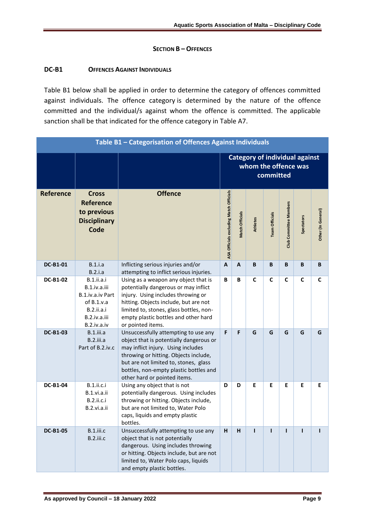## **SECTION B – OFFENCES**

## **DC-B1 OFFENCES AGAINST INDIVIDUALS**

Table B1 below shall be applied in order to determine the category of offences committed against individuals. The offence category is determined by the nature of the offence committed and the individual/s against whom the offence is committed. The applicable sanction shall be that indicated for the offence category in Table A7.

|                  |                                                                                                                           | Table B1 - Categorisation of Offences Against Individuals                                                                                                                                                                                                                         |                                                                            |                        |                 |                       |                               |                   |                    |
|------------------|---------------------------------------------------------------------------------------------------------------------------|-----------------------------------------------------------------------------------------------------------------------------------------------------------------------------------------------------------------------------------------------------------------------------------|----------------------------------------------------------------------------|------------------------|-----------------|-----------------------|-------------------------------|-------------------|--------------------|
|                  |                                                                                                                           |                                                                                                                                                                                                                                                                                   | <b>Category of individual against</b><br>whom the offence was<br>committed |                        |                 |                       |                               |                   |                    |
| <b>Reference</b> | <b>Cross</b><br><b>Reference</b><br>to previous<br><b>Disciplinary</b><br><b>Code</b>                                     | <b>Offence</b>                                                                                                                                                                                                                                                                    | ASA Officials excluding Match Officials                                    | <b>Match Officials</b> | <b>Athletes</b> | <b>Team Officials</b> | <b>Club Committee Members</b> | <b>Spectators</b> | Other (In General) |
| <b>DC-B1-01</b>  | B.1.i.a<br>B.2.i.a                                                                                                        | Inflicting serious injuries and/or<br>attempting to inflict serious injuries.                                                                                                                                                                                                     | $\boldsymbol{\mathsf{A}}$                                                  | A                      | B               | B                     | B                             | B                 | B                  |
| <b>DC-B1-02</b>  | <b>B.1.ii.a.i</b><br>B.1.iv.a.iii<br>B.1.iv.a.iv Part<br>of $B.1.v.a$<br><b>B.2.ii.a.i</b><br>B.2.iv.a.iii<br>B.2.iv.a.iv | Using as a weapon any object that is<br>potentially dangerous or may inflict<br>injury. Using includes throwing or<br>hitting. Objects include, but are not<br>limited to, stones, glass bottles, non-<br>empty plastic bottles and other hard<br>or pointed items.               | B                                                                          | B                      | $\mathsf{C}$    | $\mathsf{C}$          | $\mathsf{C}$                  | C                 | C                  |
| <b>DC-B1-03</b>  | B.1.iii.a<br>B.2.iii.a<br>Part of B.2.iv.c                                                                                | Unsuccessfully attempting to use any<br>object that is potentially dangerous or<br>may inflict injury. Using includes<br>throwing or hitting. Objects include,<br>but are not limited to, stones, glass<br>bottles, non-empty plastic bottles and<br>other hard or pointed items. | F                                                                          | F                      | G               | G                     | G                             | G                 | G                  |
| <b>DC-B1-04</b>  | <b>B.1.ii.c.i</b><br>B.1.vi.a.ii<br><b>B.2.ii.c.i</b><br>B.2.vi.a.ii                                                      | Using any object that is not<br>potentially dangerous. Using includes<br>throwing or hitting. Objects include,<br>but are not limited to, Water Polo<br>caps, liquids and empty plastic<br>bottles.                                                                               | D                                                                          | D                      | E               | E                     | Е                             | E                 | E                  |
| <b>DC-B1-05</b>  | B.1.iii.c<br>B.2.iii.c                                                                                                    | Unsuccessfully attempting to use any<br>object that is not potentially<br>dangerous. Using includes throwing<br>or hitting. Objects include, but are not<br>limited to, Water Polo caps, liquids<br>and empty plastic bottles.                                                    | H                                                                          | H                      | п               | п                     | п                             | ı                 | п                  |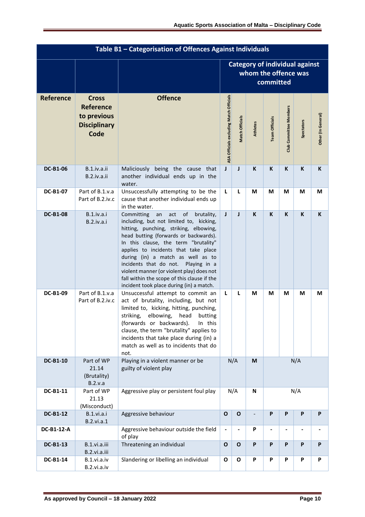| Table B1 - Categorisation of Offences Against Individuals |                                                                                |                                                                                                                                                                                                                                                                                                                                                                                                                                                                                  |                                         |                                                                            |          |                          |                               |            |                              |
|-----------------------------------------------------------|--------------------------------------------------------------------------------|----------------------------------------------------------------------------------------------------------------------------------------------------------------------------------------------------------------------------------------------------------------------------------------------------------------------------------------------------------------------------------------------------------------------------------------------------------------------------------|-----------------------------------------|----------------------------------------------------------------------------|----------|--------------------------|-------------------------------|------------|------------------------------|
|                                                           |                                                                                |                                                                                                                                                                                                                                                                                                                                                                                                                                                                                  |                                         | <b>Category of individual against</b><br>whom the offence was<br>committed |          |                          |                               |            |                              |
| <b>Reference</b>                                          | <b>Cross</b><br><b>Reference</b><br>to previous<br><b>Disciplinary</b><br>Code | <b>Offence</b>                                                                                                                                                                                                                                                                                                                                                                                                                                                                   | ASA Officials excluding Match Officials | Match Officials                                                            | Athletes | <b>Team Officials</b>    | <b>Club Committee Members</b> | Spectators | Other (In General)           |
| <b>DC-B1-06</b>                                           | B.1.iv.a.ii<br>B.2.iv.a.ii                                                     | Maliciously being the cause that<br>another individual ends up in the<br>water.                                                                                                                                                                                                                                                                                                                                                                                                  | J                                       | J                                                                          | K        | K                        | K                             | K          | K                            |
| <b>DC-B1-07</b>                                           | Part of B.1.v.a<br>Part of B.2.iv.c                                            | Unsuccessfully attempting to be the<br>cause that another individual ends up<br>in the water.                                                                                                                                                                                                                                                                                                                                                                                    | L                                       | L                                                                          | M        | M                        | M                             | M          | M                            |
| <b>DC-B1-08</b>                                           | B.1.iv.a.i<br>B.2.iv.a.i                                                       | Committing<br>an<br>act<br>of<br>brutality,<br>including, but not limited to, kicking,<br>hitting, punching, striking, elbowing,<br>head butting (forwards or backwards).<br>In this clause, the term "brutality"<br>applies to incidents that take place<br>during (in) a match as well as to<br>incidents that do not.<br>Playing in a<br>violent manner (or violent play) does not<br>fall within the scope of this clause if the<br>incident took place during (in) a match. | J<br>J                                  |                                                                            | K        | K                        | K                             | K          | K                            |
| <b>DC-B1-09</b>                                           | Part of B.1.v.a<br>Part of B.2.iv.c                                            | Unsuccessful attempt to commit an<br>act of brutality, including, but not<br>limited to, kicking, hitting, punching,<br>striking,<br>elbowing,<br>head<br>butting<br>(forwards or backwards).<br>In this<br>clause, the term "brutality" applies to<br>incidents that take place during (in) a<br>match as well as to incidents that do<br>not.                                                                                                                                  | L<br>L                                  |                                                                            | M        | М                        | М                             | М          | M                            |
| <b>DC-B1-10</b>                                           | Part of WP<br>21.14<br>(Brutality)<br>B.2.v.a                                  | Playing in a violent manner or be<br>guilty of violent play                                                                                                                                                                                                                                                                                                                                                                                                                      |                                         | N/A<br>N/A<br>M                                                            |          |                          |                               |            |                              |
| DC-B1-11                                                  | Part of WP<br>21.13<br>(Misconduct)                                            | Aggressive play or persistent foul play                                                                                                                                                                                                                                                                                                                                                                                                                                          |                                         | N/A<br>N/A<br>N                                                            |          |                          |                               |            |                              |
| <b>DC-B1-12</b>                                           | B.1.vi.a.i<br><b>B.2.vi.a.1</b>                                                | Aggressive behaviour                                                                                                                                                                                                                                                                                                                                                                                                                                                             | $\mathbf{o}$                            | $\mathbf O$                                                                |          | P                        | P                             | P          | P                            |
| DC-B1-12-A                                                |                                                                                | Aggressive behaviour outside the field<br>of play                                                                                                                                                                                                                                                                                                                                                                                                                                | $\overline{\phantom{a}}$                |                                                                            | P        | $\overline{\phantom{0}}$ |                               |            | $\qquad \qquad \blacksquare$ |
| <b>DC-B1-13</b>                                           | B.1.vi.a.iii<br>B.2.vi.a.iii                                                   | Threatening an individual                                                                                                                                                                                                                                                                                                                                                                                                                                                        | $\mathbf{o}$                            | $\mathbf{o}$                                                               | P        | P                        | P                             | P          | P                            |
| <b>DC-B1-14</b>                                           | B.1.vi.a.iv<br>B.2.vi.a.iv                                                     | Slandering or libelling an individual                                                                                                                                                                                                                                                                                                                                                                                                                                            | O<br>O                                  |                                                                            | P        | P                        | P                             | P          | P                            |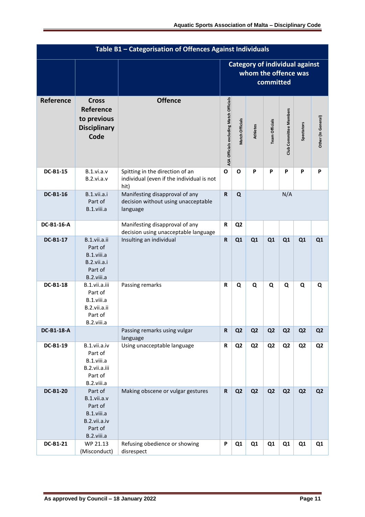|                   | Table B1 - Categorisation of Offences Against Individuals                                |                                                                                      |                                         |                                                                            |                 |                |                        |                   |                    |
|-------------------|------------------------------------------------------------------------------------------|--------------------------------------------------------------------------------------|-----------------------------------------|----------------------------------------------------------------------------|-----------------|----------------|------------------------|-------------------|--------------------|
|                   |                                                                                          |                                                                                      |                                         | <b>Category of individual against</b><br>whom the offence was<br>committed |                 |                |                        |                   |                    |
| Reference         | <b>Cross</b><br>Reference<br>to previous<br><b>Disciplinary</b><br>Code                  | <b>Offence</b>                                                                       | ASA Officials excluding Match Officials | Match Officials                                                            | <b>Athletes</b> | Team Officials | Club Committee Members | <b>Spectators</b> | Other (In General) |
| <b>DC-B1-15</b>   | B.1.vi.a.v<br>B.2.vi.a.v                                                                 | Spitting in the direction of an<br>individual (even if the individual is not<br>hit) | $\mathbf{o}$                            | O<br>P                                                                     |                 | P              | P                      | P                 | P                  |
| <b>DC-B1-16</b>   | B.1.vii.a.i<br>Part of<br>B.1.viii.a                                                     | Manifesting disapproval of any<br>decision without using unacceptable<br>language    | $\mathbf R$                             | Q                                                                          |                 |                | N/A                    |                   |                    |
| DC-B1-16-A        |                                                                                          | Manifesting disapproval of any<br>decision using unacceptable language               | $\mathbf R$                             | Q <sub>2</sub>                                                             |                 |                |                        |                   |                    |
| <b>DC-B1-17</b>   | B.1.vii.a.ii<br>Part of<br>B.1.viii.a<br>B.2.vii.a.i<br>Part of<br>B.2.viii.a            | Insulting an individual                                                              | ${\sf R}$                               | Q1                                                                         | Q1              | Q1             | Q1                     | Q1                | Q1                 |
| <b>DC-B1-18</b>   | B.1.vii.a.iii<br>Part of<br>B.1.viii.a<br>B.2.vii.a.ii<br>Part of<br>B.2.viii.a          | Passing remarks                                                                      | R                                       | Q                                                                          | Q               | Q              | Q                      | Q                 | Q                  |
| <b>DC-B1-18-A</b> |                                                                                          | Passing remarks using vulgar<br>language                                             | $\mathbf R$                             | Q <sub>2</sub>                                                             | Q <sub>2</sub>  | Q <sub>2</sub> | Q <sub>2</sub>         | Q <sub>2</sub>    | Q <sub>2</sub>     |
| <b>DC-B1-19</b>   | B.1.vii.a.iv<br>Part of<br>B.1.viii.a<br>B.2.vii.a.iii<br>Part of<br>B.2.viii.a          | Using unacceptable language                                                          | ${\sf R}$                               | Q <sub>2</sub><br>Q <sub>2</sub><br>Q <sub>2</sub>                         |                 | Q <sub>2</sub> | Q <sub>2</sub>         | Q <sub>2</sub>    |                    |
| <b>DC-B1-20</b>   | Part of<br>B.1.vii.a.v<br>Part of<br>B.1.viii.a<br>B.2.vii.a.iv<br>Part of<br>B.2.viii.a | Making obscene or vulgar gestures                                                    | ${\sf R}$                               | Q <sub>2</sub>                                                             | Q <sub>2</sub>  | Q <sub>2</sub> | Q <sub>2</sub>         | Q <sub>2</sub>    | Q <sub>2</sub>     |
| <b>DC-B1-21</b>   | WP 21.13<br>(Misconduct)                                                                 | Refusing obedience or showing<br>disrespect                                          | P                                       | Q1                                                                         | Q <sub>1</sub>  | Q1             | Q <sub>1</sub>         | Q1                | Q1                 |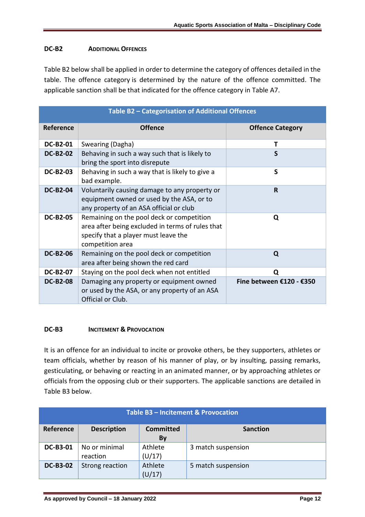## **DC-B2 ADDITIONAL OFFENCES**

Table B2 below shall be applied in order to determine the category of offences detailed in the table. The offence category is determined by the nature of the offence committed. The applicable sanction shall be that indicated for the offence category in Table A7.

|                  | Table B2 - Categorisation of Additional Offences                                                                                                          |                          |
|------------------|-----------------------------------------------------------------------------------------------------------------------------------------------------------|--------------------------|
| <b>Reference</b> | <b>Offence</b>                                                                                                                                            | <b>Offence Category</b>  |
| <b>DC-B2-01</b>  | Swearing (Dagha)                                                                                                                                          | т                        |
| <b>DC-B2-02</b>  | Behaving in such a way such that is likely to<br>bring the sport into disrepute                                                                           | S                        |
| <b>DC-B2-03</b>  | Behaving in such a way that is likely to give a<br>bad example.                                                                                           | S                        |
| <b>DC-B2-04</b>  | Voluntarily causing damage to any property or<br>equipment owned or used by the ASA, or to<br>any property of an ASA official or club                     | R                        |
| <b>DC-B2-05</b>  | Remaining on the pool deck or competition<br>area after being excluded in terms of rules that<br>specify that a player must leave the<br>competition area | Q                        |
| <b>DC-B2-06</b>  | Remaining on the pool deck or competition<br>area after being shown the red card                                                                          | Q                        |
| <b>DC-B2-07</b>  | Staying on the pool deck when not entitled                                                                                                                | O                        |
| <b>DC-B2-08</b>  | Damaging any property or equipment owned<br>or used by the ASA, or any property of an ASA<br>Official or Club.                                            | Fine between €120 - €350 |

### **DC-B3 INCITEMENT & PROVOCATION**

It is an offence for an individual to incite or provoke others, be they supporters, athletes or team officials, whether by reason of his manner of play, or by insulting, passing remarks, gesticulating, or behaving or reacting in an animated manner, or by approaching athletes or officials from the opposing club or their supporters. The applicable sanctions are detailed in Table B3 below.

|                 | Table B3 – Incitement & Provocation |                        |                    |  |  |  |  |
|-----------------|-------------------------------------|------------------------|--------------------|--|--|--|--|
| Reference       | <b>Description</b>                  | <b>Committed</b><br>By | <b>Sanction</b>    |  |  |  |  |
| <b>DC-B3-01</b> | No or minimal<br>reaction           | Athlete<br>(U/17)      | 3 match suspension |  |  |  |  |
| <b>DC-B3-02</b> | Strong reaction                     | Athlete<br>(U/17)      | 5 match suspension |  |  |  |  |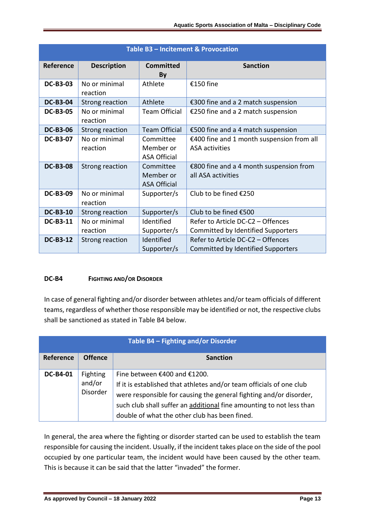|                 | Table B3 - Incitement & Provocation |                                               |                                                                         |  |  |  |  |  |
|-----------------|-------------------------------------|-----------------------------------------------|-------------------------------------------------------------------------|--|--|--|--|--|
| Reference       | <b>Description</b>                  | <b>Committed</b><br>By                        | <b>Sanction</b>                                                         |  |  |  |  |  |
| <b>DC-B3-03</b> | No or minimal<br>reaction           | Athlete                                       | €150 fine                                                               |  |  |  |  |  |
| <b>DC-B3-04</b> | <b>Strong reaction</b>              | Athlete                                       | €300 fine and a 2 match suspension                                      |  |  |  |  |  |
| <b>DC-B3-05</b> | No or minimal<br>reaction           | <b>Team Official</b>                          | €250 fine and a 2 match suspension                                      |  |  |  |  |  |
| <b>DC-B3-06</b> | Strong reaction                     | <b>Team Official</b>                          | €500 fine and a 4 match suspension                                      |  |  |  |  |  |
| <b>DC-B3-07</b> | No or minimal<br>reaction           | Committee<br>Member or<br><b>ASA Official</b> | €400 fine and 1 month suspension from all<br><b>ASA</b> activities      |  |  |  |  |  |
| <b>DC-B3-08</b> | Strong reaction                     | Committee<br>Member or<br><b>ASA Official</b> | €800 fine and a 4 month suspension from<br>all ASA activities           |  |  |  |  |  |
| <b>DC-B3-09</b> | No or minimal<br>reaction           | Supporter/s                                   | Club to be fined €250                                                   |  |  |  |  |  |
| <b>DC-B3-10</b> | Strong reaction                     | Supporter/s                                   | Club to be fined €500                                                   |  |  |  |  |  |
| <b>DC-B3-11</b> | No or minimal                       | Identified                                    | Refer to Article DC-C2 - Offences                                       |  |  |  |  |  |
|                 | reaction                            | Supporter/s                                   | Committed by Identified Supporters                                      |  |  |  |  |  |
| <b>DC-B3-12</b> | Strong reaction                     | Identified<br>Supporter/s                     | Refer to Article DC-C2 - Offences<br>Committed by Identified Supporters |  |  |  |  |  |

### **DC-B4 FIGHTING AND/OR DISORDER**

In case of general fighting and/or disorder between athletes and/or team officials of different teams, regardless of whether those responsible may be identified or not, the respective clubs shall be sanctioned as stated in Table B4 below.

|                  | Table B4 - Fighting and/or Disorder   |                                                                                                                                                                                                                                                                                                     |  |  |  |  |  |  |
|------------------|---------------------------------------|-----------------------------------------------------------------------------------------------------------------------------------------------------------------------------------------------------------------------------------------------------------------------------------------------------|--|--|--|--|--|--|
| <b>Reference</b> | <b>Offence</b>                        | <b>Sanction</b>                                                                                                                                                                                                                                                                                     |  |  |  |  |  |  |
| <b>DC-B4-01</b>  | Fighting<br>and/or<br><b>Disorder</b> | Fine between €400 and €1200.<br>If it is established that athletes and/or team officials of one club<br>were responsible for causing the general fighting and/or disorder,<br>such club shall suffer an additional fine amounting to not less than<br>double of what the other club has been fined. |  |  |  |  |  |  |

In general, the area where the fighting or disorder started can be used to establish the team responsible for causing the incident. Usually, if the incident takes place on the side of the pool occupied by one particular team, the incident would have been caused by the other team. This is because it can be said that the latter "invaded" the former.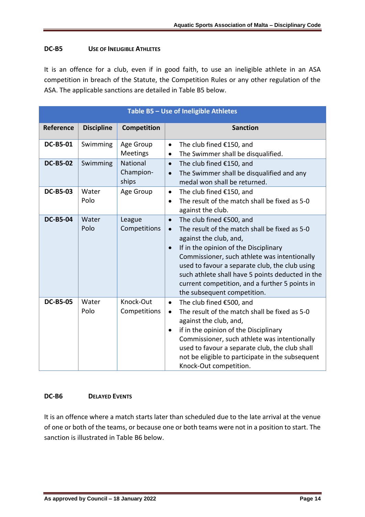## **DC-B5 USE OF INELIGIBLE ATHLETES**

It is an offence for a club, even if in good faith, to use an ineligible athlete in an ASA competition in breach of the Statute, the Competition Rules or any other regulation of the ASA. The applicable sanctions are detailed in Table B5 below.

|                 |                   |                                | Table B5 - Use of Ineligible Athletes                                                                                                                                                                                                                                                                                                                                                                                      |
|-----------------|-------------------|--------------------------------|----------------------------------------------------------------------------------------------------------------------------------------------------------------------------------------------------------------------------------------------------------------------------------------------------------------------------------------------------------------------------------------------------------------------------|
| Reference       | <b>Discipline</b> | Competition                    | <b>Sanction</b>                                                                                                                                                                                                                                                                                                                                                                                                            |
| <b>DC-B5-01</b> | Swimming          | Age Group<br>Meetings          | The club fined €150, and<br>$\bullet$<br>The Swimmer shall be disqualified.<br>$\bullet$                                                                                                                                                                                                                                                                                                                                   |
| <b>DC-B5-02</b> | Swimming          | National<br>Champion-<br>ships | The club fined €150, and<br>$\bullet$<br>The Swimmer shall be disqualified and any<br>$\bullet$<br>medal won shall be returned.                                                                                                                                                                                                                                                                                            |
| <b>DC-B5-03</b> | Water<br>Polo     | Age Group                      | The club fined €150, and<br>$\bullet$<br>The result of the match shall be fixed as 5-0<br>$\bullet$<br>against the club.                                                                                                                                                                                                                                                                                                   |
| <b>DC-B5-04</b> | Water<br>Polo     | League<br>Competitions         | The club fined €500, and<br>$\bullet$<br>The result of the match shall be fixed as 5-0<br>$\bullet$<br>against the club, and,<br>If in the opinion of the Disciplinary<br>$\bullet$<br>Commissioner, such athlete was intentionally<br>used to favour a separate club, the club using<br>such athlete shall have 5 points deducted in the<br>current competition, and a further 5 points in<br>the subsequent competition. |
| <b>DC-B5-05</b> | Water<br>Polo     | Knock-Out<br>Competitions      | The club fined €500, and<br>$\bullet$<br>The result of the match shall be fixed as 5-0<br>$\bullet$<br>against the club, and,<br>if in the opinion of the Disciplinary<br>$\bullet$<br>Commissioner, such athlete was intentionally<br>used to favour a separate club, the club shall<br>not be eligible to participate in the subsequent<br>Knock-Out competition.                                                        |

### **DC-B6 DELAYED EVENTS**

It is an offence where a match starts later than scheduled due to the late arrival at the venue of one or both of the teams, or because one or both teams were not in a position to start. The sanction is illustrated in Table B6 below.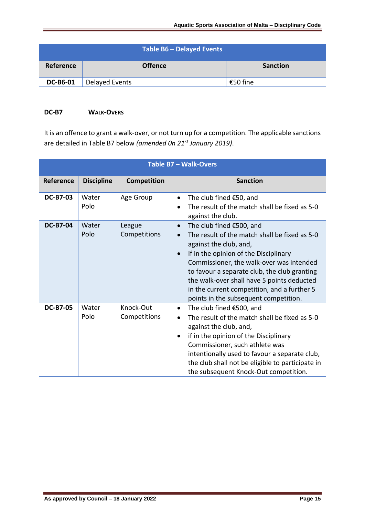|                 |                | Table B6 - Delayed Events |                 |
|-----------------|----------------|---------------------------|-----------------|
| Reference       |                | <b>Offence</b>            | <b>Sanction</b> |
| <b>DC-B6-01</b> | Delayed Events |                           | €50 fine        |

## **DC-B7 WALK-OVERS**

It is an offence to grant a walk-over, or not turn up for a competition. The applicable sanctions are detailed in Table B7 below *(amended 0n 21st January 2019)*.

|                  |                   |                           | Table B7 - Walk-Overs                                                                                                                                                                                                                                                                                                                                                                                                 |
|------------------|-------------------|---------------------------|-----------------------------------------------------------------------------------------------------------------------------------------------------------------------------------------------------------------------------------------------------------------------------------------------------------------------------------------------------------------------------------------------------------------------|
| <b>Reference</b> | <b>Discipline</b> | Competition               | <b>Sanction</b>                                                                                                                                                                                                                                                                                                                                                                                                       |
| <b>DC-B7-03</b>  | Water<br>Polo     | Age Group                 | The club fined $£50$ , and<br>$\bullet$<br>The result of the match shall be fixed as 5-0<br>$\bullet$<br>against the club.                                                                                                                                                                                                                                                                                            |
| <b>DC-B7-04</b>  | Water<br>Polo     | League<br>Competitions    | The club fined €500, and<br>$\bullet$<br>The result of the match shall be fixed as 5-0<br>$\bullet$<br>against the club, and,<br>If in the opinion of the Disciplinary<br>$\bullet$<br>Commissioner, the walk-over was intended<br>to favour a separate club, the club granting<br>the walk-over shall have 5 points deducted<br>in the current competition, and a further 5<br>points in the subsequent competition. |
| <b>DC-B7-05</b>  | Water<br>Polo     | Knock-Out<br>Competitions | The club fined €500, and<br>$\bullet$<br>The result of the match shall be fixed as 5-0<br>$\bullet$<br>against the club, and,<br>if in the opinion of the Disciplinary<br>$\bullet$<br>Commissioner, such athlete was<br>intentionally used to favour a separate club,<br>the club shall not be eligible to participate in<br>the subsequent Knock-Out competition.                                                   |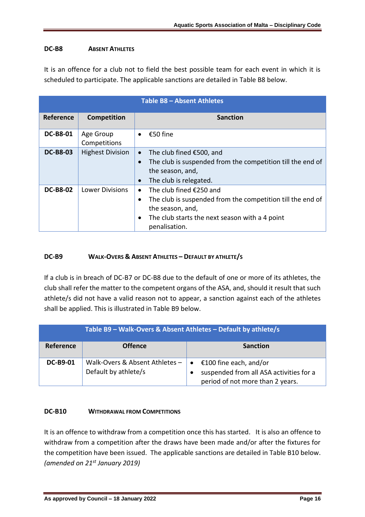# **DC-B8 ABSENT ATHLETES**

It is an offence for a club not to field the best possible team for each event in which it is scheduled to participate. The applicable sanctions are detailed in Table B8 below.

|                 | Table B8 - Absent Athletes |                                                                                                                                                                                                        |  |  |  |  |  |
|-----------------|----------------------------|--------------------------------------------------------------------------------------------------------------------------------------------------------------------------------------------------------|--|--|--|--|--|
| Reference       | Competition                | <b>Sanction</b>                                                                                                                                                                                        |  |  |  |  |  |
| <b>DC-B8-01</b> | Age Group<br>Competitions  | €50 fine<br>$\bullet$                                                                                                                                                                                  |  |  |  |  |  |
| <b>DC-B8-03</b> | <b>Highest Division</b>    | The club fined €500, and<br>$\bullet$<br>The club is suspended from the competition till the end of<br>$\bullet$<br>the season, and,<br>The club is relegated.<br>$\bullet$                            |  |  |  |  |  |
| <b>DC-B8-02</b> | <b>Lower Divisions</b>     | The club fined €250 and<br>The club is suspended from the competition till the end of<br>$\bullet$<br>the season, and,<br>The club starts the next season with a 4 point<br>$\bullet$<br>penalisation. |  |  |  |  |  |

## **DC-B9 WALK-OVERS & ABSENT ATHLETES – DEFAULT BY ATHLETE/S**

If a club is in breach of DC-B7 or DC-B8 due to the default of one or more of its athletes, the club shall refer the matter to the competent organs of the ASA, and, should it result that such athlete/s did not have a valid reason not to appear, a sanction against each of the athletes shall be applied. This is illustrated in Table B9 below.

| Table B9 - Walk-Overs & Absent Athletes - Default by athlete/s |                                                        |                                                                                                                    |  |
|----------------------------------------------------------------|--------------------------------------------------------|--------------------------------------------------------------------------------------------------------------------|--|
| Reference                                                      | <b>Offence</b>                                         | <b>Sanction</b>                                                                                                    |  |
| <b>DC-B9-01</b>                                                | Walk-Overs & Absent Athletes -<br>Default by athlete/s | €100 fine each, and/or<br>$\bullet$<br>suspended from all ASA activities for a<br>period of not more than 2 years. |  |

### **DC-B10 WITHDRAWAL FROM COMPETITIONS**

It is an offence to withdraw from a competition once this has started. It is also an offence to withdraw from a competition after the draws have been made and/or after the fixtures for the competition have been issued. The applicable sanctions are detailed in Table B10 below. *(amended on 21st January 2019)*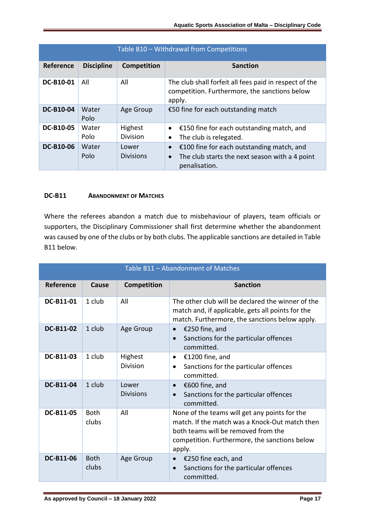| Table B10 - Withdrawal from Competitions |                   |                            |                                                                                                                                        |  |
|------------------------------------------|-------------------|----------------------------|----------------------------------------------------------------------------------------------------------------------------------------|--|
| Reference                                | <b>Discipline</b> | <b>Competition</b>         | <b>Sanction</b>                                                                                                                        |  |
| DC-B10-01                                | All               | All                        | The club shall forfeit all fees paid in respect of the<br>competition. Furthermore, the sanctions below<br>apply.                      |  |
| <b>DC-B10-04</b>                         | Water<br>Polo     | Age Group                  | €50 fine for each outstanding match                                                                                                    |  |
| <b>DC-B10-05</b>                         | Water<br>Polo     | Highest<br><b>Division</b> | €150 fine for each outstanding match, and<br>$\bullet$<br>The club is relegated.<br>$\bullet$                                          |  |
| <b>DC-B10-06</b>                         | Water<br>Polo     | Lower<br><b>Divisions</b>  | €100 fine for each outstanding match, and<br>$\bullet$<br>The club starts the next season with a 4 point<br>$\bullet$<br>penalisation. |  |

## **DC-B11 ABANDONMENT OF MATCHES**

Where the referees abandon a match due to misbehaviour of players, team officials or supporters, the Disciplinary Commissioner shall first determine whether the abandonment was caused by one of the clubs or by both clubs. The applicable sanctions are detailed in Table B11 below.

|                  | Table B11 - Abandonment of Matches |                           |                                                                                                                                                                                                   |  |
|------------------|------------------------------------|---------------------------|---------------------------------------------------------------------------------------------------------------------------------------------------------------------------------------------------|--|
| <b>Reference</b> | Cause                              | <b>Competition</b>        | <b>Sanction</b>                                                                                                                                                                                   |  |
| DC-B11-01        | 1 club                             | All                       | The other club will be declared the winner of the<br>match and, if applicable, gets all points for the<br>match. Furthermore, the sanctions below apply.                                          |  |
| DC-B11-02        | 1 club                             | Age Group                 | €250 fine, and<br>$\bullet$<br>Sanctions for the particular offences<br>$\bullet$<br>committed.                                                                                                   |  |
| <b>DC-B11-03</b> | 1 club                             | Highest<br>Division       | €1200 fine, and<br>$\bullet$<br>Sanctions for the particular offences<br>$\bullet$<br>committed.                                                                                                  |  |
| <b>DC-B11-04</b> | 1 club                             | Lower<br><b>Divisions</b> | €600 fine, and<br>$\bullet$<br>Sanctions for the particular offences<br>$\bullet$<br>committed.                                                                                                   |  |
| DC-B11-05        | <b>Both</b><br>clubs               | All                       | None of the teams will get any points for the<br>match. If the match was a Knock-Out match then<br>both teams will be removed from the<br>competition. Furthermore, the sanctions below<br>apply. |  |
| DC-B11-06        | <b>Both</b><br>clubs               | Age Group                 | €250 fine each, and<br>$\bullet$<br>Sanctions for the particular offences<br>$\bullet$<br>committed.                                                                                              |  |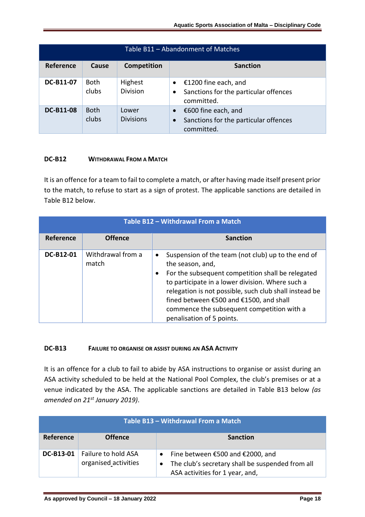| Table B11 - Abandonment of Matches |                      |                            |                                                                                                      |
|------------------------------------|----------------------|----------------------------|------------------------------------------------------------------------------------------------------|
| <b>Reference</b>                   | Cause                | <b>Competition</b>         | <b>Sanction</b>                                                                                      |
| <b>DC-B11-07</b>                   | <b>Both</b><br>clubs | Highest<br><b>Division</b> | €1200 fine each, and<br>$\bullet$<br>Sanctions for the particular offences<br>committed.             |
| <b>DC-B11-08</b>                   | <b>Both</b><br>clubs | Lower<br><b>Divisions</b>  | €600 fine each, and<br>$\bullet$<br>Sanctions for the particular offences<br>$\bullet$<br>committed. |

## **DC-B12 WITHDRAWAL FROM A MATCH**

It is an offence for a team to fail to complete a match, or after having made itself present prior to the match, to refuse to start as a sign of protest. The applicable sanctions are detailed in Table B12 below.

| Table B12 - Withdrawal From a Match |                            |                                                                                                                                                                                                                                                                                                                                                                                           |  |
|-------------------------------------|----------------------------|-------------------------------------------------------------------------------------------------------------------------------------------------------------------------------------------------------------------------------------------------------------------------------------------------------------------------------------------------------------------------------------------|--|
| Reference                           | <b>Offence</b>             | <b>Sanction</b>                                                                                                                                                                                                                                                                                                                                                                           |  |
| <b>DC-B12-01</b>                    | Withdrawal from a<br>match | Suspension of the team (not club) up to the end of<br>$\bullet$<br>the season, and,<br>For the subsequent competition shall be relegated<br>$\bullet$<br>to participate in a lower division. Where such a<br>relegation is not possible, such club shall instead be<br>fined between €500 and €1500, and shall<br>commence the subsequent competition with a<br>penalisation of 5 points. |  |

### **DC-B13 FAILURE TO ORGANISE OR ASSIST DURING AN ASA ACTIVITY**

It is an offence for a club to fail to abide by ASA instructions to organise or assist during an ASA activity scheduled to be held at the National Pool Complex, the club's premises or at a venue indicated by the ASA. The applicable sanctions are detailed in Table B13 below *(as amended on 21st January 2019)*.

| Table B13 - Withdrawal From a Match |                                             |                                                                                                                         |  |
|-------------------------------------|---------------------------------------------|-------------------------------------------------------------------------------------------------------------------------|--|
| <b>Reference</b>                    | <b>Offence</b>                              | <b>Sanction</b>                                                                                                         |  |
| <b>DC-B13-01</b>                    | Failure to hold ASA<br>organised activities | Fine between €500 and €2000, and<br>The club's secretary shall be suspended from all<br>ASA activities for 1 year, and, |  |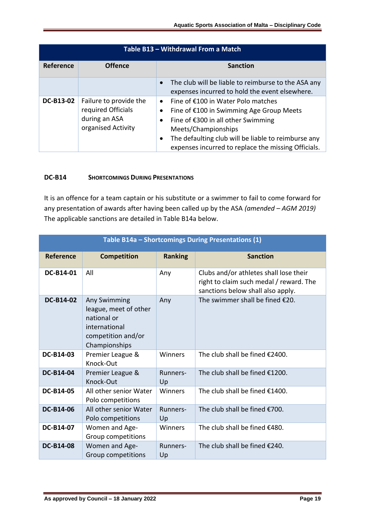| Table B13 - Withdrawal From a Match |                                                                                     |                                                                                                                                                                                                                                                                                                               |  |
|-------------------------------------|-------------------------------------------------------------------------------------|---------------------------------------------------------------------------------------------------------------------------------------------------------------------------------------------------------------------------------------------------------------------------------------------------------------|--|
| Reference                           | <b>Offence</b>                                                                      | <b>Sanction</b>                                                                                                                                                                                                                                                                                               |  |
|                                     |                                                                                     | The club will be liable to reimburse to the ASA any<br>expenses incurred to hold the event elsewhere.                                                                                                                                                                                                         |  |
| <b>DC-B13-02</b>                    | Failure to provide the<br>required Officials<br>during an ASA<br>organised Activity | Fine of €100 in Water Polo matches<br>$\bullet$<br>Fine of €100 in Swimming Age Group Meets<br>$\bullet$<br>Fine of €300 in all other Swimming<br>$\bullet$<br>Meets/Championships<br>The defaulting club will be liable to reimburse any<br>$\bullet$<br>expenses incurred to replace the missing Officials. |  |

#### **DC-B14 SHORTCOMINGS DURING PRESENTATIONS**

It is an offence for a team captain or his substitute or a swimmer to fail to come forward for any presentation of awards after having been called up by the ASA *(amended – AGM 2019)* The applicable sanctions are detailed in Table B14a below.

| Table B14a - Shortcomings During Presentations (1) |                                                                                                              |                |                                                                                                                        |  |
|----------------------------------------------------|--------------------------------------------------------------------------------------------------------------|----------------|------------------------------------------------------------------------------------------------------------------------|--|
| Reference                                          | <b>Competition</b>                                                                                           | <b>Ranking</b> | <b>Sanction</b>                                                                                                        |  |
| DC-B14-01                                          | All                                                                                                          | Any            | Clubs and/or athletes shall lose their<br>right to claim such medal / reward. The<br>sanctions below shall also apply. |  |
| DC-B14-02                                          | Any Swimming<br>league, meet of other<br>national or<br>international<br>competition and/or<br>Championships | Any            | The swimmer shall be fined $E20$ .                                                                                     |  |
| <b>DC-B14-03</b>                                   | Premier League &<br>Knock-Out                                                                                | Winners        | The club shall be fined €2400.                                                                                         |  |
| <b>DC-B14-04</b>                                   | Premier League &<br>Knock-Out                                                                                | Runners-<br>Up | The club shall be fined €1200.                                                                                         |  |
| <b>DC-B14-05</b>                                   | All other senior Water<br>Polo competitions                                                                  | Winners        | The club shall be fined €1400.                                                                                         |  |
| <b>DC-B14-06</b>                                   | All other senior Water<br>Polo competitions                                                                  | Runners-<br>Up | The club shall be fined €700.                                                                                          |  |
| DC-B14-07                                          | Women and Age-<br>Group competitions                                                                         | Winners        | The club shall be fined €480.                                                                                          |  |
| <b>DC-B14-08</b>                                   | Women and Age-<br>Group competitions                                                                         | Runners-<br>Up | The club shall be fined €240.                                                                                          |  |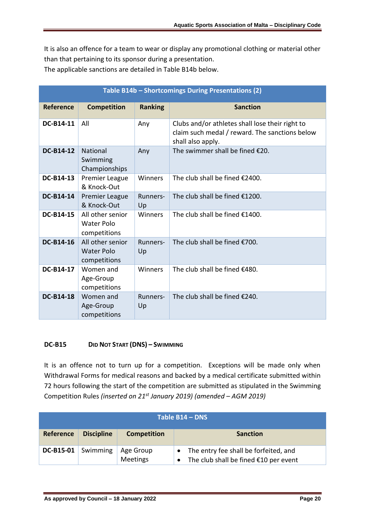It is also an offence for a team to wear or display any promotional clothing or material other than that pertaining to its sponsor during a presentation.

The applicable sanctions are detailed in Table B14b below.

| Table B14b - Shortcomings During Presentations (2) |                                                       |                |                                                                                                                        |
|----------------------------------------------------|-------------------------------------------------------|----------------|------------------------------------------------------------------------------------------------------------------------|
| <b>Reference</b>                                   | <b>Competition</b>                                    | <b>Ranking</b> | <b>Sanction</b>                                                                                                        |
| DC-B14-11                                          | All                                                   | Any            | Clubs and/or athletes shall lose their right to<br>claim such medal / reward. The sanctions below<br>shall also apply. |
| <b>DC-B14-12</b>                                   | National<br>Swimming<br>Championships                 | Any            | The swimmer shall be fined €20.                                                                                        |
| DC-B14-13                                          | Premier League<br>& Knock-Out                         | Winners        | The club shall be fined €2400.                                                                                         |
| DC-B14-14                                          | <b>Premier League</b><br>& Knock-Out                  | Runners-<br>Up | The club shall be fined €1200.                                                                                         |
| <b>DC-B14-15</b>                                   | All other senior<br><b>Water Polo</b><br>competitions | Winners        | The club shall be fined €1400.                                                                                         |
| <b>DC-B14-16</b>                                   | All other senior<br><b>Water Polo</b><br>competitions | Runners-<br>Up | The club shall be fined €700.                                                                                          |
| DC-B14-17                                          | Women and<br>Age-Group<br>competitions                | Winners        | The club shall be fined €480.                                                                                          |
| <b>DC-B14-18</b>                                   | Women and<br>Age-Group<br>competitions                | Runners-<br>Up | The club shall be fined €240.                                                                                          |

### **DC-B15 DID NOT START (DNS) – SWIMMING**

It is an offence not to turn up for a competition. Exceptions will be made only when Withdrawal Forms for medical reasons and backed by a medical certificate submitted within 72 hours following the start of the competition are submitted as stipulated in the Swimming Competition Rules *(inserted on 21st January 2019) (amended – AGM 2019)*

| Table B14 - DNS  |                   |                              |                                                                                |
|------------------|-------------------|------------------------------|--------------------------------------------------------------------------------|
| <b>Reference</b> | <b>Discipline</b> | <b>Competition</b>           | <b>Sanction</b>                                                                |
| DC-B15-01        | Swimming          | Age Group<br><b>Meetings</b> | The entry fee shall be forfeited, and<br>The club shall be fined €10 per event |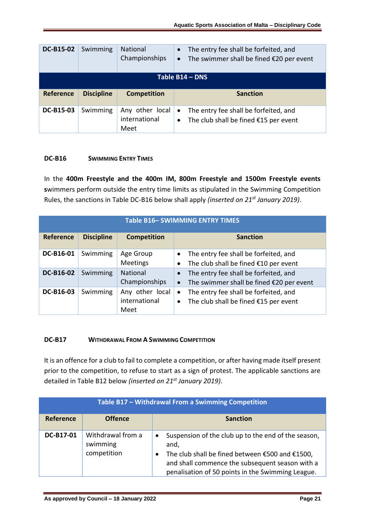| <b>DC-B15-02</b> | Swimming          | National<br>Championships                | The entry fee shall be forfeited, and<br>$\bullet$<br>The swimmer shall be fined $£20$ per event<br>$\bullet$ |
|------------------|-------------------|------------------------------------------|---------------------------------------------------------------------------------------------------------------|
|                  |                   |                                          | Table B14 - DNS                                                                                               |
| <b>Reference</b> | <b>Discipline</b> | <b>Competition</b>                       | <b>Sanction</b>                                                                                               |
| <b>DC-B15-03</b> | Swimming          | Any other local<br>international<br>Meet | The entry fee shall be forfeited, and<br>$\bullet$<br>The club shall be fined $£15$ per event<br>$\bullet$    |

#### **DC-B16 SWIMMING ENTRY TIMES**

In the **400m Freestyle and the 400m IM, 800m Freestyle and 1500m Freestyle events s**wimmers perform outside the entry time limits as stipulated in the Swimming Competition Rules, the sanctions in Table DC-B16 below shall apply *(inserted on 21st January 2019)*.

| <b>Table B16- SWIMMING ENTRY TIMES</b> |                   |                                          |                                                                                                             |
|----------------------------------------|-------------------|------------------------------------------|-------------------------------------------------------------------------------------------------------------|
| Reference                              | <b>Discipline</b> | <b>Competition</b>                       | <b>Sanction</b>                                                                                             |
| DC-B16-01                              | Swimming          | Age Group<br>Meetings                    | The entry fee shall be forfeited, and<br>The club shall be fined €10 per event<br>$\bullet$                 |
| <b>DC-B16-02</b>                       | Swimming          | National<br>Championships                | The entry fee shall be forfeited, and<br>$\bullet$<br>The swimmer shall be fined €20 per event<br>$\bullet$ |
| DC-B16-03                              | Swimming          | Any other local<br>international<br>Meet | The entry fee shall be forfeited, and<br>$\bullet$<br>The club shall be fined €15 per event<br>$\bullet$    |

#### **DC-B17 WITHDRAWAL FROM A SWIMMING COMPETITION**

It is an offence for a club to fail to complete a competition, or after having made itself present prior to the competition, to refuse to start as a sign of protest. The applicable sanctions are detailed in Table B12 below *(inserted on 21st January 2019)*.

| Table B17 - Withdrawal From a Swimming Competition |                                              |                                                                                                                                                                                                                                                  |
|----------------------------------------------------|----------------------------------------------|--------------------------------------------------------------------------------------------------------------------------------------------------------------------------------------------------------------------------------------------------|
| Reference                                          | <b>Offence</b>                               | <b>Sanction</b>                                                                                                                                                                                                                                  |
| <b>DC-B17-01</b>                                   | Withdrawal from a<br>swimming<br>competition | Suspension of the club up to the end of the season,<br>$\bullet$<br>and,<br>The club shall be fined between €500 and €1500,<br>$\bullet$<br>and shall commence the subsequent season with a<br>penalisation of 50 points in the Swimming League. |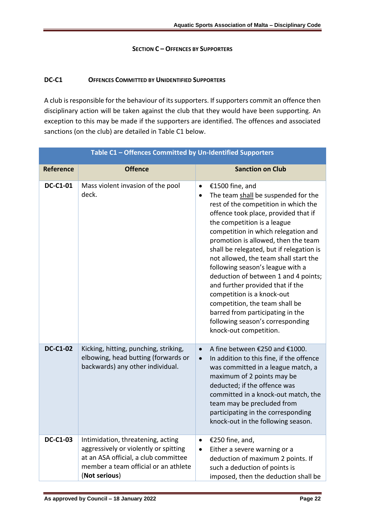#### **SECTION C – OFFENCES BY SUPPORTERS**

## **DC-C1 OFFENCES COMMITTED BY UNIDENTIFIED SUPPORTERS**

A club is responsible for the behaviour of its supporters. If supporters commit an offence then disciplinary action will be taken against the club that they would have been supporting. An exception to this may be made if the supporters are identified. The offences and associated sanctions (on the club) are detailed in Table C1 below.

| Table C1 - Offences Committed by Un-Identified Supporters |                                                                                                                                                                             |                                                                                                                                                                                                                                                                                                                                                                                                                                                                                                                                                                                                                                              |  |
|-----------------------------------------------------------|-----------------------------------------------------------------------------------------------------------------------------------------------------------------------------|----------------------------------------------------------------------------------------------------------------------------------------------------------------------------------------------------------------------------------------------------------------------------------------------------------------------------------------------------------------------------------------------------------------------------------------------------------------------------------------------------------------------------------------------------------------------------------------------------------------------------------------------|--|
| <b>Reference</b>                                          | <b>Offence</b>                                                                                                                                                              | <b>Sanction on Club</b>                                                                                                                                                                                                                                                                                                                                                                                                                                                                                                                                                                                                                      |  |
| <b>DC-C1-01</b>                                           | Mass violent invasion of the pool<br>deck.                                                                                                                                  | €1500 fine, and<br>$\bullet$<br>The team shall be suspended for the<br>٠<br>rest of the competition in which the<br>offence took place, provided that if<br>the competition is a league<br>competition in which relegation and<br>promotion is allowed, then the team<br>shall be relegated, but if relegation is<br>not allowed, the team shall start the<br>following season's league with a<br>deduction of between 1 and 4 points;<br>and further provided that if the<br>competition is a knock-out<br>competition, the team shall be<br>barred from participating in the<br>following season's corresponding<br>knock-out competition. |  |
| <b>DC-C1-02</b>                                           | Kicking, hitting, punching, striking,<br>elbowing, head butting (forwards or<br>backwards) any other individual.                                                            | A fine between €250 and €1000.<br>$\bullet$<br>In addition to this fine, if the offence<br>$\bullet$<br>was committed in a league match, a<br>maximum of 2 points may be<br>deducted; if the offence was<br>committed in a knock-out match, the<br>team may be precluded from<br>participating in the corresponding<br>knock-out in the following season.                                                                                                                                                                                                                                                                                    |  |
| <b>DC-C1-03</b>                                           | Intimidation, threatening, acting<br>aggressively or violently or spitting<br>at an ASA official, a club committee<br>member a team official or an athlete<br>(Not serious) | €250 fine, and,<br>$\bullet$<br>Either a severe warning or a<br>$\bullet$<br>deduction of maximum 2 points. If<br>such a deduction of points is<br>imposed, then the deduction shall be                                                                                                                                                                                                                                                                                                                                                                                                                                                      |  |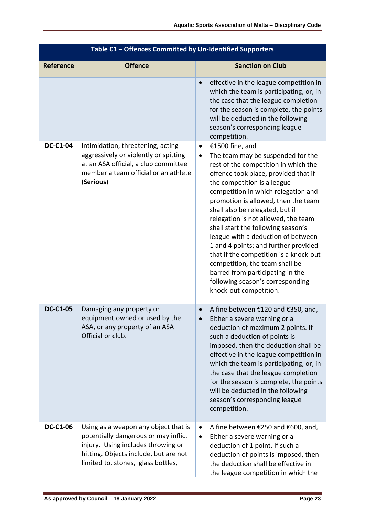| Table C1 - Offences Committed by Un-Identified Supporters |                                                                                                                                                                                                   |                                                                                                                                                                                                                                                                                                                                                                                                                                                                                                                                                                                                                                                         |  |
|-----------------------------------------------------------|---------------------------------------------------------------------------------------------------------------------------------------------------------------------------------------------------|---------------------------------------------------------------------------------------------------------------------------------------------------------------------------------------------------------------------------------------------------------------------------------------------------------------------------------------------------------------------------------------------------------------------------------------------------------------------------------------------------------------------------------------------------------------------------------------------------------------------------------------------------------|--|
| <b>Reference</b>                                          | <b>Offence</b>                                                                                                                                                                                    | <b>Sanction on Club</b>                                                                                                                                                                                                                                                                                                                                                                                                                                                                                                                                                                                                                                 |  |
|                                                           |                                                                                                                                                                                                   | effective in the league competition in<br>$\bullet$<br>which the team is participating, or, in<br>the case that the league completion<br>for the season is complete, the points<br>will be deducted in the following<br>season's corresponding league<br>competition.                                                                                                                                                                                                                                                                                                                                                                                   |  |
| <b>DC-C1-04</b>                                           | Intimidation, threatening, acting<br>aggressively or violently or spitting<br>at an ASA official, a club committee<br>member a team official or an athlete<br>(Serious)                           | €1500 fine, and<br>$\bullet$<br>The team may be suspended for the<br>$\bullet$<br>rest of the competition in which the<br>offence took place, provided that if<br>the competition is a league<br>competition in which relegation and<br>promotion is allowed, then the team<br>shall also be relegated, but if<br>relegation is not allowed, the team<br>shall start the following season's<br>league with a deduction of between<br>1 and 4 points; and further provided<br>that if the competition is a knock-out<br>competition, the team shall be<br>barred from participating in the<br>following season's corresponding<br>knock-out competition. |  |
| <b>DC-C1-05</b>                                           | Damaging any property or<br>equipment owned or used by the<br>ASA, or any property of an ASA<br>Official or club.                                                                                 | A fine between €120 and €350, and,<br>$\bullet$<br>Either a severe warning or a<br>$\bullet$<br>deduction of maximum 2 points. If<br>such a deduction of points is<br>imposed, then the deduction shall be<br>effective in the league competition in<br>which the team is participating, or, in<br>the case that the league completion<br>for the season is complete, the points<br>will be deducted in the following<br>season's corresponding league<br>competition.                                                                                                                                                                                  |  |
| <b>DC-C1-06</b>                                           | Using as a weapon any object that is<br>potentially dangerous or may inflict<br>injury. Using includes throwing or<br>hitting. Objects include, but are not<br>limited to, stones, glass bottles, | A fine between €250 and €600, and,<br>$\bullet$<br>Either a severe warning or a<br>$\bullet$<br>deduction of 1 point. If such a<br>deduction of points is imposed, then<br>the deduction shall be effective in<br>the league competition in which the                                                                                                                                                                                                                                                                                                                                                                                                   |  |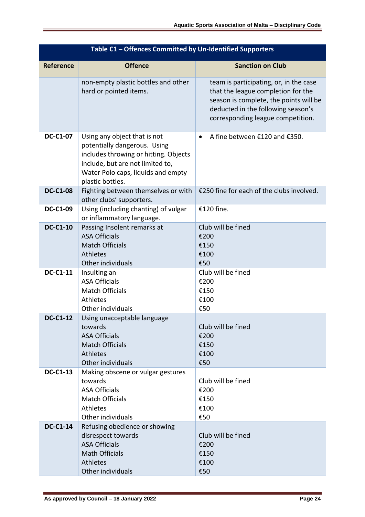| Table C1 - Offences Committed by Un-Identified Supporters |                                                                                                                                                                                                     |                                                                                                                                                                                                   |  |  |
|-----------------------------------------------------------|-----------------------------------------------------------------------------------------------------------------------------------------------------------------------------------------------------|---------------------------------------------------------------------------------------------------------------------------------------------------------------------------------------------------|--|--|
| <b>Reference</b>                                          | <b>Offence</b>                                                                                                                                                                                      | <b>Sanction on Club</b>                                                                                                                                                                           |  |  |
|                                                           | non-empty plastic bottles and other<br>hard or pointed items.                                                                                                                                       | team is participating, or, in the case<br>that the league completion for the<br>season is complete, the points will be<br>deducted in the following season's<br>corresponding league competition. |  |  |
| <b>DC-C1-07</b>                                           | Using any object that is not<br>potentially dangerous. Using<br>includes throwing or hitting. Objects<br>include, but are not limited to,<br>Water Polo caps, liquids and empty<br>plastic bottles. | A fine between €120 and €350.<br>$\bullet$                                                                                                                                                        |  |  |
| <b>DC-C1-08</b>                                           | Fighting between themselves or with<br>other clubs' supporters.                                                                                                                                     | €250 fine for each of the clubs involved.                                                                                                                                                         |  |  |
| <b>DC-C1-09</b>                                           | Using (including chanting) of vulgar<br>or inflammatory language.                                                                                                                                   | €120 fine.                                                                                                                                                                                        |  |  |
| <b>DC-C1-10</b>                                           | Passing Insolent remarks at<br><b>ASA Officials</b><br><b>Match Officials</b><br><b>Athletes</b><br>Other individuals                                                                               | Club will be fined<br>€200<br>€150<br>€100<br>€50                                                                                                                                                 |  |  |
| <b>DC-C1-11</b>                                           | Insulting an<br><b>ASA Officials</b><br><b>Match Officials</b><br>Athletes<br>Other individuals                                                                                                     | Club will be fined<br>€200<br>€150<br>€100<br>€50                                                                                                                                                 |  |  |
| <b>DC-C1-12</b>                                           | Using unacceptable language<br>towards<br><b>ASA Officials</b><br><b>Match Officials</b><br>Athletes<br>Other individuals                                                                           | Club will be fined<br>€200<br>€150<br>€100<br>€50                                                                                                                                                 |  |  |
| <b>DC-C1-13</b>                                           | Making obscene or vulgar gestures<br>towards<br><b>ASA Officials</b><br><b>Match Officials</b><br>Athletes<br>Other individuals                                                                     | Club will be fined<br>€200<br>€150<br>€100<br>€50                                                                                                                                                 |  |  |
| <b>DC-C1-14</b>                                           | Refusing obedience or showing<br>disrespect towards<br><b>ASA Officials</b><br><b>Math Officials</b><br>Athletes<br>Other individuals                                                               | Club will be fined<br>€200<br>€150<br>€100<br>€50                                                                                                                                                 |  |  |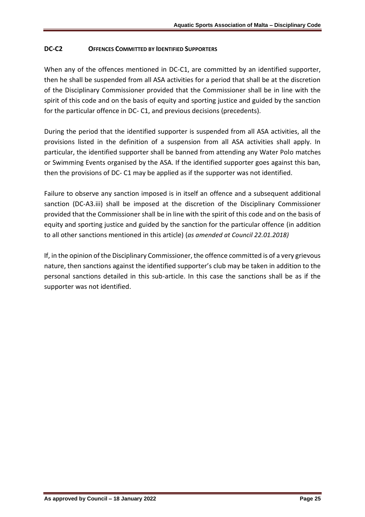## **DC-C2 OFFENCES COMMITTED BY IDENTIFIED SUPPORTERS**

When any of the offences mentioned in DC-C1, are committed by an identified supporter, then he shall be suspended from all ASA activities for a period that shall be at the discretion of the Disciplinary Commissioner provided that the Commissioner shall be in line with the spirit of this code and on the basis of equity and sporting justice and guided by the sanction for the particular offence in DC- C1, and previous decisions (precedents).

During the period that the identified supporter is suspended from all ASA activities, all the provisions listed in the definition of a suspension from all ASA activities shall apply. In particular, the identified supporter shall be banned from attending any Water Polo matches or Swimming Events organised by the ASA. If the identified supporter goes against this ban, then the provisions of DC- C1 may be applied as if the supporter was not identified.

Failure to observe any sanction imposed is in itself an offence and a subsequent additional sanction (DC-A3.iii) shall be imposed at the discretion of the Disciplinary Commissioner provided that the Commissioner shall be in line with the spirit of this code and on the basis of equity and sporting justice and guided by the sanction for the particular offence (in addition to all other sanctions mentioned in this article) (*as amended at Council 22.01.2018)*

If, in the opinion of the Disciplinary Commissioner, the offence committed is of a very grievous nature, then sanctions against the identified supporter's club may be taken in addition to the personal sanctions detailed in this sub-article. In this case the sanctions shall be as if the supporter was not identified.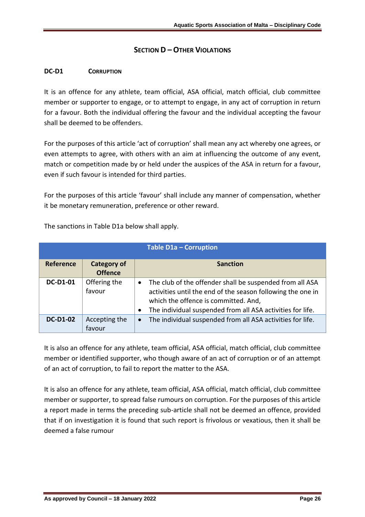# **SECTION D –OTHER VIOLATIONS**

#### **DC-D1 CORRUPTION**

It is an offence for any athlete, team official, ASA official, match official, club committee member or supporter to engage, or to attempt to engage, in any act of corruption in return for a favour. Both the individual offering the favour and the individual accepting the favour shall be deemed to be offenders.

For the purposes of this article 'act of corruption' shall mean any act whereby one agrees, or even attempts to agree, with others with an aim at influencing the outcome of any event, match or competition made by or held under the auspices of the ASA in return for a favour, even if such favour is intended for third parties.

For the purposes of this article 'favour' shall include any manner of compensation, whether it be monetary remuneration, preference or other reward.

| Table D1a - Corruption |                                      |                                                                                                                                                                                                                                                         |
|------------------------|--------------------------------------|---------------------------------------------------------------------------------------------------------------------------------------------------------------------------------------------------------------------------------------------------------|
| <b>Reference</b>       | <b>Category of</b><br><b>Offence</b> | <b>Sanction</b>                                                                                                                                                                                                                                         |
| <b>DC-D1-01</b>        | Offering the<br>favour               | The club of the offender shall be suspended from all ASA<br>$\bullet$<br>activities until the end of the season following the one in<br>which the offence is committed. And,<br>The individual suspended from all ASA activities for life.<br>$\bullet$ |
| <b>DC-D1-02</b>        | Accepting the<br>favour              | The individual suspended from all ASA activities for life.<br>$\bullet$                                                                                                                                                                                 |

The sanctions in Table D1a below shall apply.

It is also an offence for any athlete, team official, ASA official, match official, club committee member or identified supporter, who though aware of an act of corruption or of an attempt of an act of corruption, to fail to report the matter to the ASA.

It is also an offence for any athlete, team official, ASA official, match official, club committee member or supporter, to spread false rumours on corruption. For the purposes of this article a report made in terms the preceding sub-article shall not be deemed an offence, provided that if on investigation it is found that such report is frivolous or vexatious, then it shall be deemed a false rumour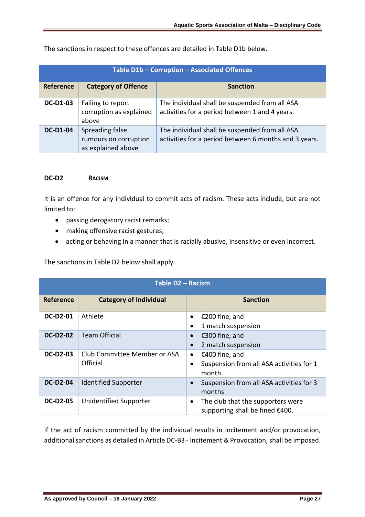The sanctions in respect to these offences are detailed in Table D1b below.

| Table D1b - Corruption - Associated Offences |                                                                |                                                                                                         |
|----------------------------------------------|----------------------------------------------------------------|---------------------------------------------------------------------------------------------------------|
| Reference                                    | <b>Category of Offence</b>                                     | <b>Sanction</b>                                                                                         |
| <b>DC-D1-03</b>                              | Failing to report<br>corruption as explained<br>above          | The individual shall be suspended from all ASA<br>activities for a period between 1 and 4 years.        |
| <b>DC-D1-04</b>                              | Spreading false<br>rumours on corruption<br>as explained above | The individual shall be suspended from all ASA<br>activities for a period between 6 months and 3 years. |

#### **DC-D2 RACISM**

It is an offence for any individual to commit acts of racism. These acts include, but are not limited to:

- passing derogatory racist remarks;
- making offensive racist gestures;
- acting or behaving in a manner that is racially abusive, insensitive or even incorrect.

The sanctions in Table D2 below shall apply.

| Table D2 - Racism |                                          |                                                                                   |  |
|-------------------|------------------------------------------|-----------------------------------------------------------------------------------|--|
| <b>Reference</b>  | <b>Category of Individual</b>            | <b>Sanction</b>                                                                   |  |
| <b>DC-D2-01</b>   | Athlete                                  | €200 fine, and<br>1 match suspension                                              |  |
| <b>DC-D2-02</b>   | <b>Team Official</b>                     | €300 fine, and<br>2 match suspension                                              |  |
| <b>DC-D2-03</b>   | Club Committee Member or ASA<br>Official | €400 fine, and<br>$\bullet$<br>Suspension from all ASA activities for 1<br>month  |  |
| <b>DC-D2-04</b>   | <b>Identified Supporter</b>              | Suspension from all ASA activities for 3<br>months                                |  |
| <b>DC-D2-05</b>   | <b>Unidentified Supporter</b>            | The club that the supporters were<br>$\bullet$<br>supporting shall be fined €400. |  |

If the act of racism committed by the individual results in incitement and/or provocation, additional sanctions as detailed in Article DC-B3 - Incitement & Provocation, shall be imposed.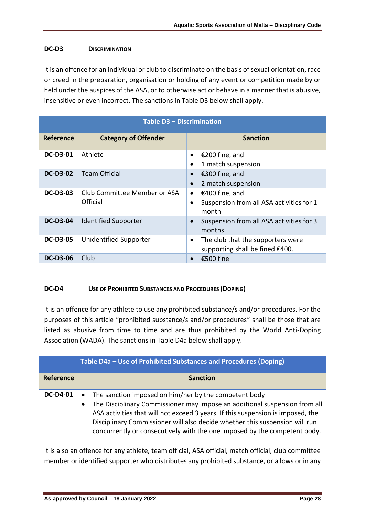## **DC-D3 DISCRIMINATION**

It is an offence for an individual or club to discriminate on the basis of sexual orientation, race or creed in the preparation, organisation or holding of any event or competition made by or held under the auspices of the ASA, or to otherwise act or behave in a manner that is abusive, insensitive or even incorrect. The sanctions in Table D3 below shall apply.

| <b>Table D3 - Discrimination</b> |                                          |                                                                                               |  |
|----------------------------------|------------------------------------------|-----------------------------------------------------------------------------------------------|--|
| <b>Reference</b>                 | <b>Category of Offender</b>              | <b>Sanction</b>                                                                               |  |
| <b>DC-D3-01</b>                  | Athlete                                  | €200 fine, and<br>1 match suspension                                                          |  |
| <b>DC-D3-02</b>                  | <b>Team Official</b>                     | €300 fine, and<br>2 match suspension                                                          |  |
| <b>DC-D3-03</b>                  | Club Committee Member or ASA<br>Official | €400 fine, and<br>$\bullet$<br>Suspension from all ASA activities for 1<br>$\bullet$<br>month |  |
| <b>DC-D3-04</b>                  | <b>Identified Supporter</b>              | Suspension from all ASA activities for 3<br>$\bullet$<br>months                               |  |
| <b>DC-D3-05</b>                  | <b>Unidentified Supporter</b>            | The club that the supporters were<br>$\bullet$<br>supporting shall be fined €400.             |  |
| <b>DC-D3-06</b>                  | Club                                     | €500 fine                                                                                     |  |

### **DC-D4 USE OF PROHIBITED SUBSTANCES AND PROCEDURES (DOPING)**

It is an offence for any athlete to use any prohibited substance/s and/or procedures. For the purposes of this article "prohibited substance/s and/or procedures" shall be those that are listed as abusive from time to time and are thus prohibited by the World Anti-Doping Association (WADA). The sanctions in Table D4a below shall apply.

|                 | Table D4a - Use of Prohibited Substances and Procedures (Doping)                                                                                                                                                                                                                                                                                                                                |  |  |
|-----------------|-------------------------------------------------------------------------------------------------------------------------------------------------------------------------------------------------------------------------------------------------------------------------------------------------------------------------------------------------------------------------------------------------|--|--|
| Reference       | <b>Sanction</b>                                                                                                                                                                                                                                                                                                                                                                                 |  |  |
| <b>DC-D4-01</b> | The sanction imposed on him/her by the competent body<br>$\bullet$<br>The Disciplinary Commissioner may impose an additional suspension from all<br>ASA activities that will not exceed 3 years. If this suspension is imposed, the<br>Disciplinary Commissioner will also decide whether this suspension will run<br>concurrently or consecutively with the one imposed by the competent body. |  |  |

It is also an offence for any athlete, team official, ASA official, match official, club committee member or identified supporter who distributes any prohibited substance, or allows or in any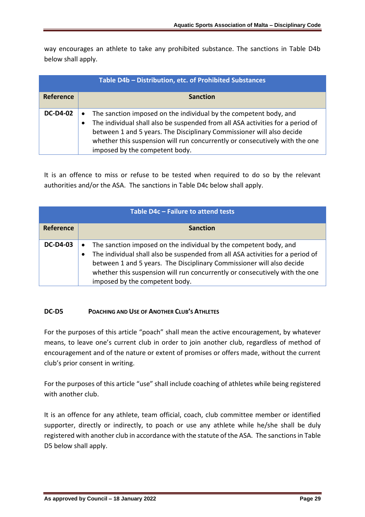way encourages an athlete to take any prohibited substance. The sanctions in Table D4b below shall apply.

| Table D4b - Distribution, etc. of Prohibited Substances |                                                                                                                                                                                                                                                                                                                                                            |  |
|---------------------------------------------------------|------------------------------------------------------------------------------------------------------------------------------------------------------------------------------------------------------------------------------------------------------------------------------------------------------------------------------------------------------------|--|
| Reference                                               | <b>Sanction</b>                                                                                                                                                                                                                                                                                                                                            |  |
| <b>DC-D4-02</b>                                         | The sanction imposed on the individual by the competent body, and<br>$\bullet$<br>The individual shall also be suspended from all ASA activities for a period of<br>between 1 and 5 years. The Disciplinary Commissioner will also decide<br>whether this suspension will run concurrently or consecutively with the one<br>imposed by the competent body. |  |

It is an offence to miss or refuse to be tested when required to do so by the relevant authorities and/or the ASA. The sanctions in Table D4c below shall apply.

| Table D4c - Failure to attend tests |                                                                                                                                                                                                                                                                                                                                                                         |  |  |
|-------------------------------------|-------------------------------------------------------------------------------------------------------------------------------------------------------------------------------------------------------------------------------------------------------------------------------------------------------------------------------------------------------------------------|--|--|
| <b>Reference</b>                    | <b>Sanction</b>                                                                                                                                                                                                                                                                                                                                                         |  |  |
| <b>DC-D4-03</b>                     | The sanction imposed on the individual by the competent body, and<br>$\bullet$<br>The individual shall also be suspended from all ASA activities for a period of<br>$\bullet$<br>between 1 and 5 years. The Disciplinary Commissioner will also decide<br>whether this suspension will run concurrently or consecutively with the one<br>imposed by the competent body. |  |  |

### **DC-D5 POACHING AND USE OF ANOTHER CLUB'S ATHLETES**

For the purposes of this article "poach" shall mean the active encouragement, by whatever means, to leave one's current club in order to join another club, regardless of method of encouragement and of the nature or extent of promises or offers made, without the current club's prior consent in writing.

For the purposes of this article "use" shall include coaching of athletes while being registered with another club.

It is an offence for any athlete, team official, coach, club committee member or identified supporter, directly or indirectly, to poach or use any athlete while he/she shall be duly registered with another club in accordance with the statute of the ASA. The sanctions in Table D5 below shall apply.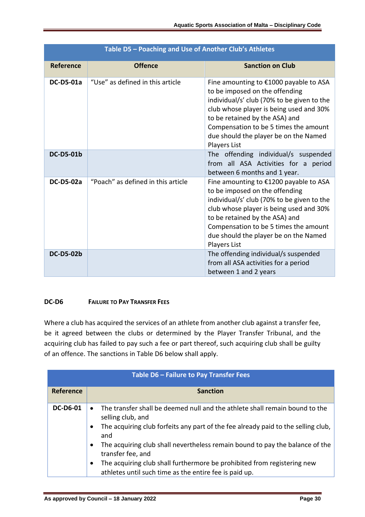| Table D5 - Poaching and Use of Another Club's Athletes |                                    |                                                                                                                                                                                                                                                                                                       |  |
|--------------------------------------------------------|------------------------------------|-------------------------------------------------------------------------------------------------------------------------------------------------------------------------------------------------------------------------------------------------------------------------------------------------------|--|
| <b>Reference</b>                                       | <b>Offence</b>                     | <b>Sanction on Club</b>                                                                                                                                                                                                                                                                               |  |
| <b>DC-D5-01a</b>                                       | "Use" as defined in this article   | Fine amounting to €1000 payable to ASA<br>to be imposed on the offending<br>individual/s' club (70% to be given to the<br>club whose player is being used and 30%<br>to be retained by the ASA) and<br>Compensation to be 5 times the amount<br>due should the player be on the Named<br>Players List |  |
| <b>DC-D5-01b</b>                                       |                                    | The offending individual/s suspended<br>from all ASA Activities for a period<br>between 6 months and 1 year.                                                                                                                                                                                          |  |
| <b>DC-D5-02a</b>                                       | "Poach" as defined in this article | Fine amounting to €1200 payable to ASA<br>to be imposed on the offending<br>individual/s' club (70% to be given to the<br>club whose player is being used and 30%<br>to be retained by the ASA) and<br>Compensation to be 5 times the amount<br>due should the player be on the Named<br>Players List |  |
| <b>DC-D5-02b</b>                                       |                                    | The offending individual/s suspended<br>from all ASA activities for a period<br>between 1 and 2 years                                                                                                                                                                                                 |  |

# **DC-D6 FAILURE TO PAY TRANSFER FEES**

Where a club has acquired the services of an athlete from another club against a transfer fee, be it agreed between the clubs or determined by the Player Transfer Tribunal, and the acquiring club has failed to pay such a fee or part thereof, such acquiring club shall be guilty of an offence. The sanctions in Table D6 below shall apply.

| Table D6 - Failure to Pay Transfer Fees |                                                                                                                                                                                                                                                                                                                                                                                                                                                                               |  |  |
|-----------------------------------------|-------------------------------------------------------------------------------------------------------------------------------------------------------------------------------------------------------------------------------------------------------------------------------------------------------------------------------------------------------------------------------------------------------------------------------------------------------------------------------|--|--|
| Reference                               | <b>Sanction</b>                                                                                                                                                                                                                                                                                                                                                                                                                                                               |  |  |
| <b>DC-D6-01</b>                         | The transfer shall be deemed null and the athlete shall remain bound to the<br>selling club, and<br>The acquiring club forfeits any part of the fee already paid to the selling club,<br>$\bullet$<br>and<br>The acquiring club shall nevertheless remain bound to pay the balance of the<br>$\bullet$<br>transfer fee, and<br>The acquiring club shall furthermore be prohibited from registering new<br>$\bullet$<br>athletes until such time as the entire fee is paid up. |  |  |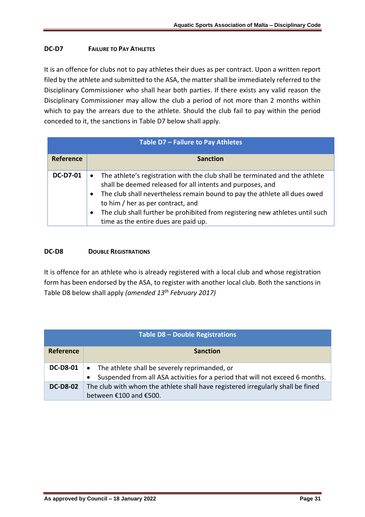## **DC-D7 FAILURE TO PAY ATHLETES**

It is an offence for clubs not to pay athletes their dues as per contract. Upon a written report filed by the athlete and submitted to the ASA, the matter shall be immediately referred to the Disciplinary Commissioner who shall hear both parties. If there exists any valid reason the Disciplinary Commissioner may allow the club a period of not more than 2 months within which to pay the arrears due to the athlete. Should the club fail to pay within the period conceded to it, the sanctions in Table D7 below shall apply.

| Table D7 - Failure to Pay Athletes |                                                                                                                                                                                                                                                                                                                                                                                                                 |  |  |  |
|------------------------------------|-----------------------------------------------------------------------------------------------------------------------------------------------------------------------------------------------------------------------------------------------------------------------------------------------------------------------------------------------------------------------------------------------------------------|--|--|--|
| <b>Reference</b>                   | <b>Sanction</b>                                                                                                                                                                                                                                                                                                                                                                                                 |  |  |  |
| <b>DC-D7-01</b>                    | The athlete's registration with the club shall be terminated and the athlete<br>$\bullet$<br>shall be deemed released for all intents and purposes, and<br>The club shall nevertheless remain bound to pay the athlete all dues owed<br>to him / her as per contract, and<br>The club shall further be prohibited from registering new athletes until such<br>$\bullet$<br>time as the entire dues are paid up. |  |  |  |

### **DC-D8 DOUBLE REGISTRATIONS**

It is offence for an athlete who is already registered with a local club and whose registration form has been endorsed by the ASA, to register with another local club. Both the sanctions in Table D8 below shall apply *(amended 13th February 2017)*

| Table D8 - Double Registrations |                                                                                                                                  |  |  |  |
|---------------------------------|----------------------------------------------------------------------------------------------------------------------------------|--|--|--|
| <b>Reference</b>                | <b>Sanction</b>                                                                                                                  |  |  |  |
| <b>DC-D8-01</b>                 | • The athlete shall be severely reprimanded, or<br>Suspended from all ASA activities for a period that will not exceed 6 months. |  |  |  |
| <b>DC-D8-02</b>                 | The club with whom the athlete shall have registered irregularly shall be fined<br>between €100 and €500.                        |  |  |  |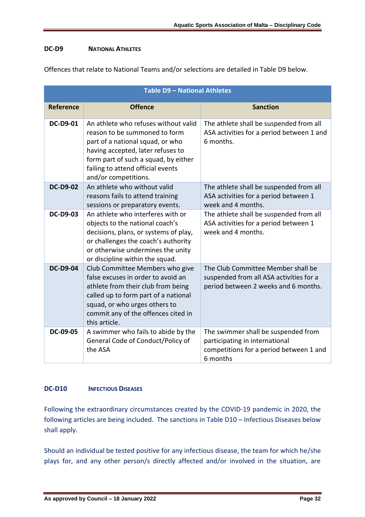### **DC-D9 NATIONAL ATHLETES**

Offences that relate to National Teams and/or selections are detailed in Table D9 below.

| Table D9 - National Athletes |                                                                                                                                                                                                                                                     |                                                                                                                              |  |  |
|------------------------------|-----------------------------------------------------------------------------------------------------------------------------------------------------------------------------------------------------------------------------------------------------|------------------------------------------------------------------------------------------------------------------------------|--|--|
| <b>Reference</b>             | <b>Offence</b>                                                                                                                                                                                                                                      | <b>Sanction</b>                                                                                                              |  |  |
| <b>DC-D9-01</b>              | An athlete who refuses without valid<br>reason to be summoned to form<br>part of a national squad, or who<br>having accepted, later refuses to<br>form part of such a squad, by either<br>failing to attend official events<br>and/or competitions. | The athlete shall be suspended from all<br>ASA activities for a period between 1 and<br>6 months.                            |  |  |
| <b>DC-D9-02</b>              | An athlete who without valid<br>reasons fails to attend training<br>sessions or preparatory events.                                                                                                                                                 | The athlete shall be suspended from all<br>ASA activities for a period between 1<br>week and 4 months.                       |  |  |
| <b>DC-D9-03</b>              | An athlete who interferes with or<br>objects to the national coach's<br>decisions, plans, or systems of play,<br>or challenges the coach's authority<br>or otherwise undermines the unity<br>or discipline within the squad.                        | The athlete shall be suspended from all<br>ASA activities for a period between 1<br>week and 4 months.                       |  |  |
| <b>DC-D9-04</b>              | Club Committee Members who give<br>false excuses in order to avoid an<br>athlete from their club from being<br>called up to form part of a national<br>squad, or who urges others to<br>commit any of the offences cited in<br>this article.        | The Club Committee Member shall be<br>suspended from all ASA activities for a<br>period between 2 weeks and 6 months.        |  |  |
| DC-09-05                     | A swimmer who fails to abide by the<br>General Code of Conduct/Policy of<br>the ASA                                                                                                                                                                 | The swimmer shall be suspended from<br>participating in international<br>competitions for a period between 1 and<br>6 months |  |  |

## **DC-D10 INFECTIOUS DISEASES**

Following the extraordinary circumstances created by the COVID-19 pandemic in 2020, the following articles are being included. The sanctions in Table D10 – Infectious Diseases below shall apply.

Should an individual be tested positive for any infectious disease, the team for which he/she plays for, and any other person/s directly affected and/or involved in the situation, are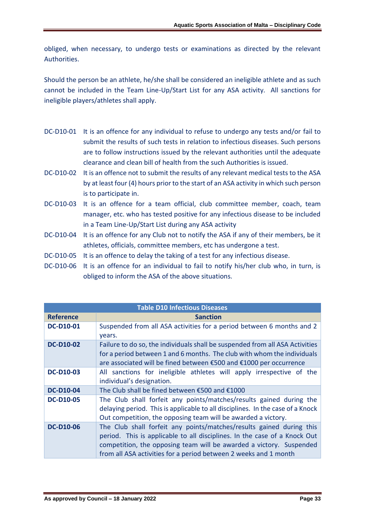obliged, when necessary, to undergo tests or examinations as directed by the relevant Authorities.

Should the person be an athlete, he/she shall be considered an ineligible athlete and as such cannot be included in the Team Line-Up/Start List for any ASA activity. All sanctions for ineligible players/athletes shall apply.

- DC-D10-01 It is an offence for any individual to refuse to undergo any tests and/or fail to submit the results of such tests in relation to infectious diseases. Such persons are to follow instructions issued by the relevant authorities until the adequate clearance and clean bill of health from the such Authorities is issued.
- DC-D10-02 It is an offence not to submit the results of any relevant medical tests to the ASA by at least four (4) hours prior to the start of an ASA activity in which such person is to participate in.
- DC-D10-03 It is an offence for a team official, club committee member, coach, team manager, etc. who has tested positive for any infectious disease to be included in a Team Line-Up/Start List during any ASA activity
- DC-D10-04 It is an offence for any Club not to notify the ASA if any of their members, be it athletes, officials, committee members, etc has undergone a test.
- DC-D10-05 It is an offence to delay the taking of a test for any infectious disease.
- DC-D10-06 It is an offence for an individual to fail to notify his/her club who, in turn, is obliged to inform the ASA of the above situations.

| <b>Table D10 Infectious Diseases</b> |                                                                                                                                                                                                                                                                                              |  |
|--------------------------------------|----------------------------------------------------------------------------------------------------------------------------------------------------------------------------------------------------------------------------------------------------------------------------------------------|--|
| <b>Reference</b>                     | <b>Sanction</b>                                                                                                                                                                                                                                                                              |  |
| <b>DC-D10-01</b>                     | Suspended from all ASA activities for a period between 6 months and 2<br>years.                                                                                                                                                                                                              |  |
| <b>DC-D10-02</b>                     | Failure to do so, the individuals shall be suspended from all ASA Activities<br>for a period between 1 and 6 months. The club with whom the individuals<br>are associated will be fined between €500 and €1000 per occurrence                                                                |  |
| <b>DC-D10-03</b>                     | All sanctions for ineligible athletes will apply irrespective of the<br>individual's designation.                                                                                                                                                                                            |  |
| <b>DC-D10-04</b>                     | The Club shall be fined between €500 and €1000                                                                                                                                                                                                                                               |  |
| <b>DC-D10-05</b>                     | The Club shall forfeit any points/matches/results gained during the<br>delaying period. This is applicable to all disciplines. In the case of a Knock<br>Out competition, the opposing team will be awarded a victory.                                                                       |  |
| <b>DC-D10-06</b>                     | The Club shall forfeit any points/matches/results gained during this<br>period. This is applicable to all disciplines. In the case of a Knock Out<br>competition, the opposing team will be awarded a victory. Suspended<br>from all ASA activities for a period between 2 weeks and 1 month |  |